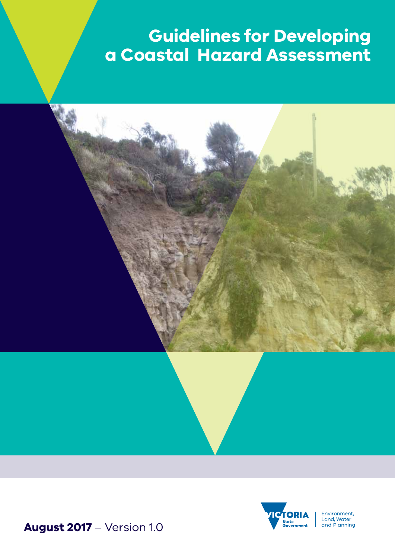## **Guidelines for Developing a Coastal Hazard Assessment**





Environment,<br>Land, Water<br>and Planning

**August 2017** – Version 1.0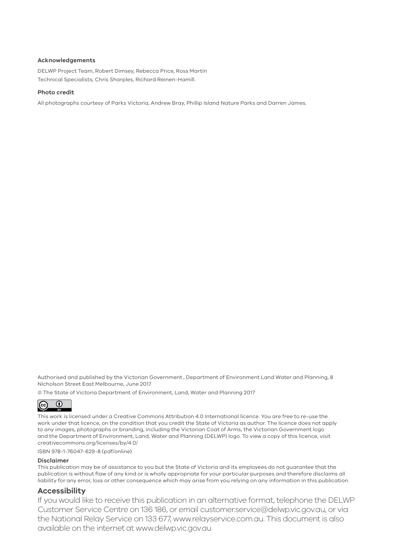#### **Acknowledgements**

DELWP Project Team, Robert Dimsey, Rebecca Price, Ross Martin Technical Specialists; Chris Sharples, Richard Reinen-Hamill.

#### **Photo credit**

All photographs courtesy of Parks Victoria, Andrew Bray, Phillip Island Nature Parks and Darren James.

Authorised and published by the Victorian Government, Department of Environment Land Water and Planning, 8 Nicholson Street East Melbourne, June 2017

© The State of Victoria Department of Environment, Land, Water and Planning 2017



This work is licensed under a Creative Commons Attribution 4.0 International licence. You are free to re-use the work under that licence, on the condition that you credit the State of Victoria as author. The licence does not apply to any images, photographs or branding, including the Victorian Coat of Arms, the Victorian Government logo and the Department of Environment, Land, Water and Planning (DELWP) logo. To view a copy of this licence, visit creativecommons.org/licenses/by/4.0/

ISBN 978-1-76047-629-8 (pdf/online)

#### **Disclaimer**

This publication may be of assistance to you but the State of Victoria and its employees do not guarantee that the publication is without flaw of any kind or is wholly appropriate for your particular purposes and therefore disclaims all liability for any error, loss or other consequence which may arise from you relying on any information in this publication.

#### **Accessibility**

If you would like to receive this publication in an alternative format, telephone the DELWP Customer Service Centre on 136 186, or email customer.service@delwp.vic.gov.au, or via the National Relay Service on 133 677, www.relayservice.com.au. This document is also available on the internet at www.delwp.vic.gov.au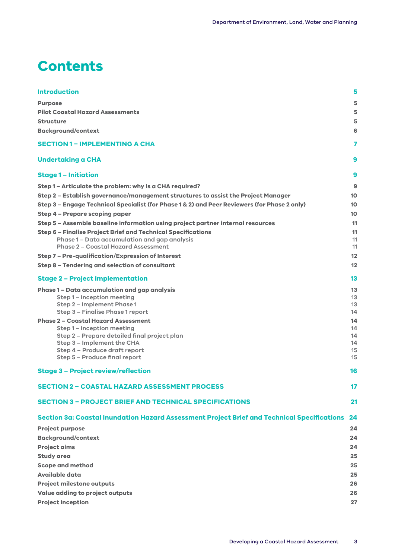### **Contents**

| <b>Introduction</b>                                                                                                                                                                                                      | 5                                |
|--------------------------------------------------------------------------------------------------------------------------------------------------------------------------------------------------------------------------|----------------------------------|
| <b>Purpose</b>                                                                                                                                                                                                           | 5                                |
| <b>Pilot Coastal Hazard Assessments</b>                                                                                                                                                                                  | 5                                |
| <b>Structure</b>                                                                                                                                                                                                         | 5                                |
| <b>Backaround/context</b>                                                                                                                                                                                                | 6                                |
| <b>SECTION 1 - IMPLEMENTING A CHA</b>                                                                                                                                                                                    | 7                                |
| <b>Undertaking a CHA</b>                                                                                                                                                                                                 | 9                                |
| <b>Stage 1 - Initiation</b>                                                                                                                                                                                              | 9                                |
| Step 1 - Articulate the problem: why is a CHA required?                                                                                                                                                                  | 9                                |
| Step 2 - Establish governance/management structures to assist the Project Manager                                                                                                                                        | 10                               |
| Step 3 - Engage Technical Specialist (for Phase 1 & 2) and Peer Reviewers (for Phase 2 only)                                                                                                                             | 10                               |
| Step 4 – Prepare scoping paper                                                                                                                                                                                           | 10                               |
| Step 5 - Assemble baseline information using project partner internal resources                                                                                                                                          | 11                               |
| <b>Step 6 - Finalise Project Brief and Technical Specifications</b><br>Phase 1 – Data accumulation and gap analysis<br><b>Phase 2 - Coastal Hazard Assessment</b>                                                        | 11<br>11<br>11                   |
| Step 7 - Pre-qualification/Expression of Interest                                                                                                                                                                        | 12                               |
| Step 8 - Tendering and selection of consultant                                                                                                                                                                           | 12                               |
| <b>Stage 2 - Project implementation</b>                                                                                                                                                                                  | 13                               |
| <b>Phase 1 – Data accumulation and gap analysis</b><br>Step 1 - Inception meeting<br>Step 2 - Implement Phase 1<br>Step 3 - Finalise Phase 1 report                                                                      | 13<br>13<br>13<br>14             |
| <b>Phase 2 - Coastal Hazard Assessment</b><br>Step 1 - Inception meeting<br>Step 2 - Prepare detailed final project plan<br>Step 3 - Implement the CHA<br>Step 4 - Produce draft report<br>Step 5 - Produce final report | 14<br>14<br>14<br>14<br>15<br>15 |
| <b>Stage 3 - Project review/reflection</b>                                                                                                                                                                               | 16                               |
| <b>SECTION 2 - COASTAL HAZARD ASSESSMENT PROCESS</b>                                                                                                                                                                     | 17                               |
| <b>SECTION 3 - PROJECT BRIEF AND TECHNICAL SPECIFICATIONS</b>                                                                                                                                                            | 21                               |
| Section 3a: Coastal Inundation Hazard Assessment Project Brief and Technical Specifications                                                                                                                              | 24                               |
| <b>Project purpose</b>                                                                                                                                                                                                   | 24                               |
| <b>Background/context</b>                                                                                                                                                                                                | 24                               |
| <b>Project aims</b>                                                                                                                                                                                                      | 24                               |
| <b>Study area</b>                                                                                                                                                                                                        | 25                               |
| <b>Scope and method</b>                                                                                                                                                                                                  | 25                               |
| Available data                                                                                                                                                                                                           | 25                               |
| <b>Project milestone outputs</b>                                                                                                                                                                                         | 26                               |
| Value adding to project outputs                                                                                                                                                                                          | 26                               |
| <b>Project inception</b>                                                                                                                                                                                                 | 27                               |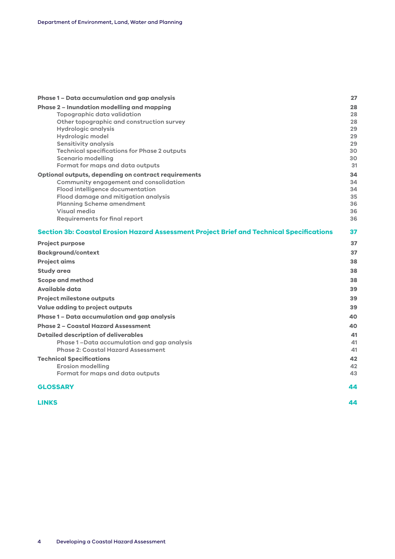| <b>Phase 1 - Data accumulation and gap analysis</b>                                      | 27       |
|------------------------------------------------------------------------------------------|----------|
| Phase 2 – Inundation modelling and mapping                                               | 28       |
| <b>Topographic data validation</b>                                                       | 28       |
| Other topographic and construction survey                                                | 28       |
| <b>Hydrologic analysis</b>                                                               | 29       |
| Hydrologic model                                                                         | 29<br>29 |
| <b>Sensitivity analysis</b><br><b>Technical specifications for Phase 2 outputs</b>       | 30       |
| <b>Scenario modelling</b>                                                                | 30       |
| Format for maps and data outputs                                                         | 31       |
| Optional outputs, depending on contract requirements                                     | 34       |
| Community engagement and consolidation                                                   | 34       |
| Flood intelligence documentation                                                         | 34       |
| Flood damage and mitigation analysis                                                     | 35       |
| <b>Planning Scheme amendment</b>                                                         | 36       |
| Visual media                                                                             | 36       |
| <b>Requirements for final report</b>                                                     | 36       |
| Section 3b: Coastal Erosion Hazard Assessment Project Brief and Technical Specifications | 37       |
| <b>Project purpose</b>                                                                   | 37       |
| <b>Background/context</b>                                                                | 37       |
| <b>Project aims</b>                                                                      | 38       |
| <b>Study area</b>                                                                        | 38       |
| <b>Scope and method</b>                                                                  | 38       |
| Available data                                                                           | 39       |
| <b>Project milestone outputs</b>                                                         | 39       |
| Value adding to project outputs                                                          | 39       |
| Phase 1 - Data accumulation and gap analysis                                             | 40       |
| <b>Phase 2 - Coastal Hazard Assessment</b>                                               | 40       |
| <b>Detailed description of deliverables</b>                                              | 41       |
| Phase 1-Data accumulation and gap analysis                                               | 41       |
| <b>Phase 2: Coastal Hazard Assessment</b>                                                | 41       |
| <b>Technical Specifications</b>                                                          | 42       |
| <b>Erosion modelling</b>                                                                 | 42       |
| Format for maps and data outputs                                                         | 43       |
| <b>GLOSSARY</b>                                                                          | 44       |
| <b>LINKS</b>                                                                             | 44       |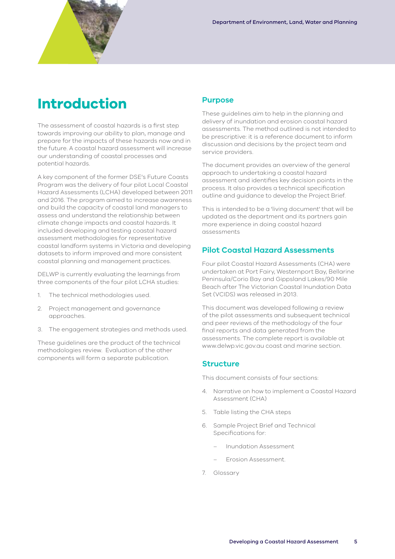

### **Introduction**

The assessment of coastal hazards is a first step towards improving our ability to plan, manage and prepare for the impacts of these hazards now and in the future. A coastal hazard assessment will increase our understanding of coastal processes and potential hazards.

A key component of the former DSE's Future Coasts Program was the delivery of four pilot Local Coastal Hazard Assessments (LCHA) developed between 2011 and 2016. The program aimed to increase awareness and build the capacity of coastal land managers to assess and understand the relationship between climate change impacts and coastal hazards. It included developing and testing coastal hazard assessment methodologies for representative coastal landform systems in Victoria and developing datasets to inform improved and more consistent coastal planning and management practices.

DELWP is currently evaluating the learnings from three components of the four pilot LCHA studies:

- 1. The technical methodologies used.
- 2. Project management and governance approaches.
- 3. The engagement strategies and methods used.

These guidelines are the product of the technical methodologies review. Evaluation of the other components will form a separate publication.

#### **Purpose**

These guidelines aim to help in the planning and delivery of inundation and erosion coastal hazard assessments. The method outlined is not intended to be prescriptive: it is a reference document to inform discussion and decisions by the project team and service providers.

The document provides an overview of the general approach to undertaking a coastal hazard assessment and identifies key decision points in the process. It also provides a technical specification outline and guidance to develop the Project Brief.

This is intended to be a 'living document' that will be updated as the department and its partners gain more experience in doing coastal hazard assessments

#### **Pilot Coastal Hazard Assessments**

Four pilot Coastal Hazard Assessments (CHA) were undertaken at Port Fairy, Westernport Bay, Bellarine Peninsula/Corio Bay and Gippsland Lakes/90 Mile Beach after The Victorian Coastal Inundation Data Set (VCIDS) was released in 2013.

This document was developed following a review of the pilot assessments and subsequent technical and peer reviews of the methodology of the four final reports and data generated from the assessments. The complete report is available at www.delwp.vic.gov.au coast and marine section.

#### **Structure**

This document consists of four sections:

- 4. Narrative on how to implement a Coastal Hazard Assessment (CHA)
- 5. Table listing the CHA steps
- 6. Sample Project Brief and Technical Specifications for:
	- Inundation Assessment
	- Erosion Assessment.
- 7. Glossary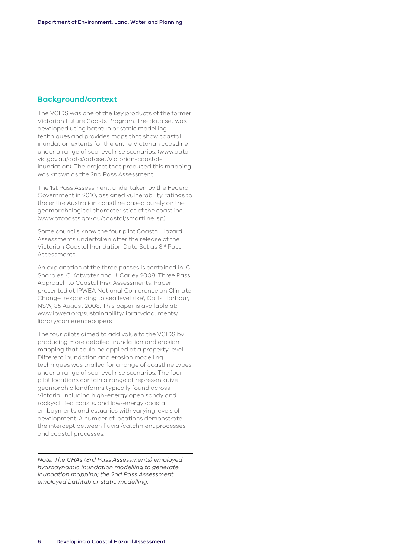#### **Background/context**

The VCIDS was one of the key products of the former Victorian Future Coasts Program. The data set was developed using bathtub or static modelling techniques and provides maps that show coastal inundation extents for the entire Victorian coastline under a range of sea level rise scenarios. (www.data. vic.gov.au/data/dataset/victorian-coastalinundation). The project that produced this mapping was known as the 2nd Pass Assessment.

The 1st Pass Assessment, undertaken by the Federal Government in 2010, assigned vulnerability ratings to the entire Australian coastline based purely on the geomorphological characteristics of the coastline. (www.ozcoasts.gov.au/coastal/smartline.jsp)

Some councils know the four pilot Coastal Hazard Assessments undertaken after the release of the Victorian Coastal Inundation Data Set as 3rd Pass Assessments.

An explanation of the three passes is contained in: C. Sharples, C. Attwater and J. Carley 2008. Three Pass Approach to Coastal Risk Assessments. Paper presented at IPWEA National Conference on Climate Change 'responding to sea level rise', Coffs Harbour, NSW, 35 August 2008. This paper is available at: www.ipwea.org/sustainability/librarydocuments/ library/conferencepapers

The four pilots aimed to add value to the VCIDS by producing more detailed inundation and erosion mapping that could be applied at a property level. Different inundation and erosion modelling techniques was trialled for a range of coastline types under a range of sea level rise scenarios. The four pilot locations contain a range of representative geomorphic landforms typically found across Victoria, including high-energy open sandy and rocky/cliffed coasts, and low-energy coastal embayments and estuaries with varying levels of development. A number of locations demonstrate the intercept between fluvial/catchment processes and coastal processes.

*Note: The CHAs (3rd Pass Assessments) employed hydrodynamic inundation modelling to generate inundation mapping; the 2nd Pass Assessment employed bathtub or static modelling.*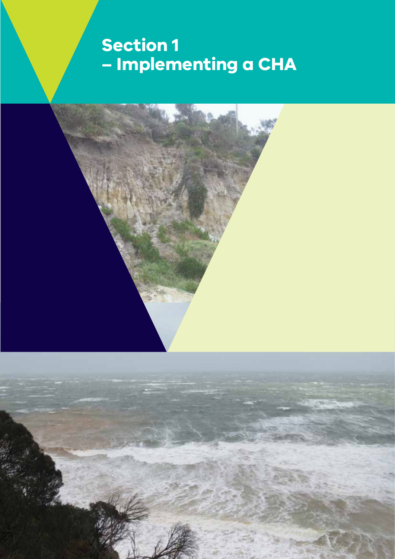## **Section 1 – Implementing a CHA**

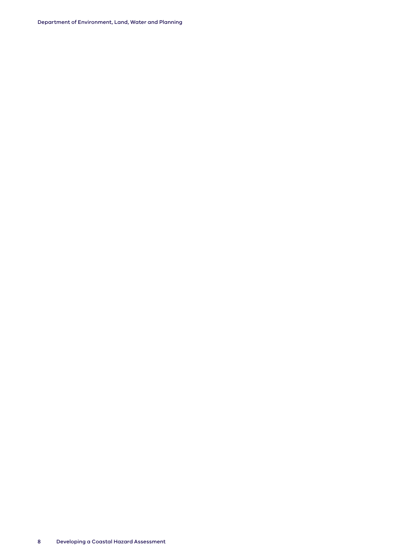Department of Environment, Land, Water and Planning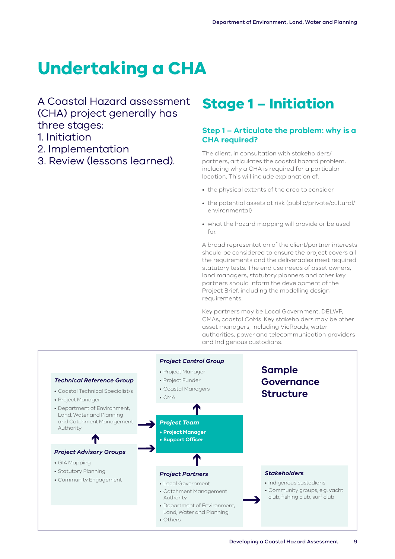# **Undertaking a CHA**

A Coastal Hazard assessment (CHA) project generally has three stages:

- 1. Initiation
- 2. Implementation
- 3. Review (lessons learned).

## **Stage 1 – Initiation**

#### **Step 1 – Articulate the problem: why is a CHA required?**

The client, in consultation with stakeholders/ partners, articulates the coastal hazard problem, including why a CHA is required for a particular location. This will include explanation of:

- the physical extents of the area to consider
- the potential assets at risk (public/private/cultural/ environmental)
- what the hazard mapping will provide or be used for

A broad representation of the client/partner interests should be considered to ensure the project covers all the requirements and the deliverables meet required statutory tests. The end use needs of asset owners, land managers, statutory planners and other key partners should inform the development of the Project Brief, including the modelling design requirements.

Key partners may be Local Government, DELWP, CMAs, coastal CoMs. Key stakeholders may be other asset managers, including VicRoads, water authorities, power and telecommunication providers and Indigenous custodians.

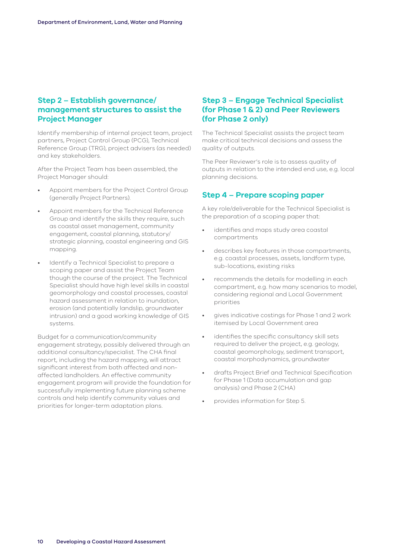#### **Step 2 – Establish governance/ management structures to assist the Project Manager**

Identify membership of internal project team, project partners, Project Control Group (PCG), Technical Reference Group (TRG), project advisers (as needed) and key stakeholders.

After the Project Team has been assembled, the Project Manager should:

- Appoint members for the Project Control Group (generally Project Partners).
- Appoint members for the Technical Reference Group and identify the skills they require, such as coastal asset management, community engagement, coastal planning, statutory/ strategic planning, coastal engineering and GIS mapping.
- Identify a Technical Specialist to prepare a scoping paper and assist the Project Team though the course of the project. The Technical Specialist should have high level skills in coastal geomorphology and coastal processes, coastal hazard assessment in relation to inundation, erosion (and potentially landslip, groundwater intrusion) and a good working knowledge of GIS systems.

Budget for a communication/community engagement strategy, possibly delivered through an additional consultancy/specialist. The CHA final report, including the hazard mapping, will attract significant interest from both affected and nonaffected landholders. An effective community engagement program will provide the foundation for successfully implementing future planning scheme controls and help identify community values and priorities for longer-term adaptation plans.

#### **Step 3 – Engage Technical Specialist (for Phase 1 & 2) and Peer Reviewers (for Phase 2 only)**

The Technical Specialist assists the project team make critical technical decisions and assess the quality of outputs.

The Peer Reviewer's role is to assess quality of outputs in relation to the intended end use, e.g. local planning decisions.

#### **Step 4 – Prepare scoping paper**

A key role/deliverable for the Technical Specialist is the preparation of a scoping paper that:

- identifies and maps study area coastal compartments
- describes key features in those compartments, e.g. coastal processes, assets, landform type, sub-locations, existing risks
- recommends the details for modelling in each compartment, e.g. how many scenarios to model, considering regional and Local Government priorities
- gives indicative costings for Phase 1 and 2 work itemised by Local Government area
- identifies the specific consultancy skill sets required to deliver the project, e.g. geology, coastal geomorphology, sediment transport, coastal morphodynamics, groundwater
- drafts Project Brief and Technical Specification for Phase 1 (Data accumulation and gap analysis) and Phase 2 (CHA)
- provides information for Step 5.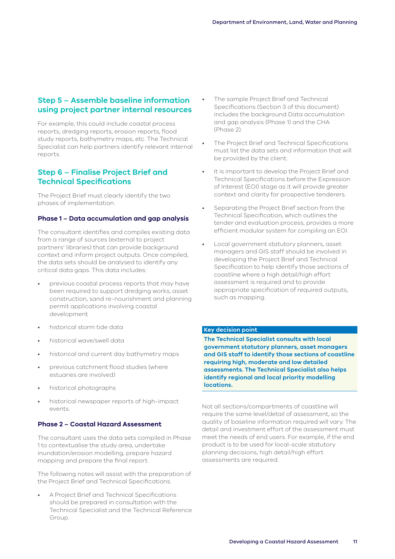#### **Step 5 – Assemble baseline information using project partner internal resources**

For example, this could include coastal process reports, dredging reports, erosion reports, flood study reports, bathymetry maps, etc. The Technical Specialist can help partners identify relevant internal reports.

#### **Step 6 – Finalise Project Brief and Technical Specifications**

The Project Brief must clearly identify the two phases of implementation.

#### **Phase 1 – Data accumulation and gap analysis**

The consultant identifies and compiles existing data from a range of sources (external to project partners' libraries) that can provide background context and inform project outputs. Once compiled, the data sets should be analysed to identify any critical data gaps. This data includes:

- previous coastal process reports that may have been required to support dredging works, asset construction, sand re-nourishment and planning permit applications involving coastal development
- historical storm tide data
- historical wave/swell data
- historical and current day bathymetry maps
- previous catchment flood studies (where estuaries are involved)
- historical photographs
- historical newspaper reports of high-impact events.

#### **Phase 2 – Coastal Hazard Assessment**

The consultant uses the data sets compiled in Phase 1 to contextualise the study area, undertake inundation/erosion modelling, prepare hazard mapping and prepare the final report.

The following notes will assist with the preparation of the Project Brief and Technical Specifications.

A Project Brief and Technical Specifications should be prepared in consultation with the Technical Specialist and the Technical Reference Group.

- The sample Project Brief and Technical Specifications (Section 3 of this document) includes the background Data accumulation and gap analysis (Phase 1) and the CHA (Phase 2).
- The Project Brief and Technical Specifications must list the data sets and information that will be provided by the client.
- It is important to develop the Project Brief and Technical Specifications before the Expression of Interest (EOI) stage as it will provide greater context and clarity for prospective tenderers.
- Separating the Project Brief section from the Technical Specification, which outlines the tender and evaluation process, provides a more efficient modular system for compiling an EOI.
- Local government statutory planners, asset managers and GIS staff should be involved in developing the Project Brief and Technical Specification to help identify those sections of coastline where a high detail/high effort assessment is required and to provide appropriate specification of required outputs, such as mapping.

#### **Key decision point**

**The Technical Specialist consults with local government statutory planners, asset managers and GIS staff to identify those sections of coastline requiring high, moderate and low detailed assessments. The Technical Specialist also helps identify regional and local priority modelling locations.** 

Not all sections/compartments of coastline will require the same level/detail of assessment, so the quality of baseline information required will vary. The detail and investment effort of the assessment must meet the needs of end users. For example, if the end product is to be used for local-scale statutory planning decisions, high detail/high effort assessments are required.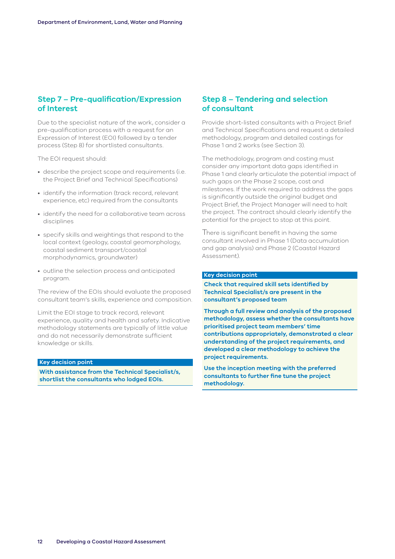#### **Step 7 – Pre-qualification/Expression of Interest**

Due to the specialist nature of the work, consider a pre-qualification process with a request for an Expression of Interest (EOI) followed by a tender process (Step 8) for shortlisted consultants.

The EOI request should:

- describe the project scope and requirements (i.e. the Project Brief and Technical Specifications)
- identify the information (track record, relevant experience, etc) required from the consultants
- identify the need for a collaborative team across disciplines
- specify skills and weightings that respond to the local context (geology, coastal geomorphology, coastal sediment transport/coastal morphodynamics, groundwater)
- outline the selection process and anticipated program.

The review of the EOIs should evaluate the proposed consultant team's skills, experience and composition.

Limit the EOI stage to track record, relevant experience, quality and health and safety. Indicative methodology statements are typically of little value and do not necessarily demonstrate sufficient knowledge or skills.

#### **Key decision point**

**With assistance from the Technical Specialist/s, shortlist the consultants who lodged EOIs.**

#### **Step 8 – Tendering and selection of consultant**

Provide short-listed consultants with a Project Brief and Technical Specifications and request a detailed methodology, program and detailed costings for Phase 1 and 2 works (see Section 3).

The methodology, program and costing must consider any important data gaps identified in Phase 1 and clearly articulate the potential impact of such gaps on the Phase 2 scope, cost and milestones. If the work required to address the gaps is significantly outside the original budget and Project Brief, the Project Manager will need to halt the project. The contract should clearly identify the potential for the project to stop at this point.

There is significant benefit in having the same consultant involved in Phase 1 (Data accumulation and gap analysis) and Phase 2 (Coastal Hazard Assessment).

#### **Key decision point**

**Check that required skill sets identified by Technical Specialist/s are present in the consultant's proposed team** 

**Through a full review and analysis of the proposed methodology, assess whether the consultants have prioritised project team members' time contributions appropriately, demonstrated a clear understanding of the project requirements, and developed a clear methodology to achieve the project requirements.**

**Use the inception meeting with the preferred consultants to further fine tune the project methodology.**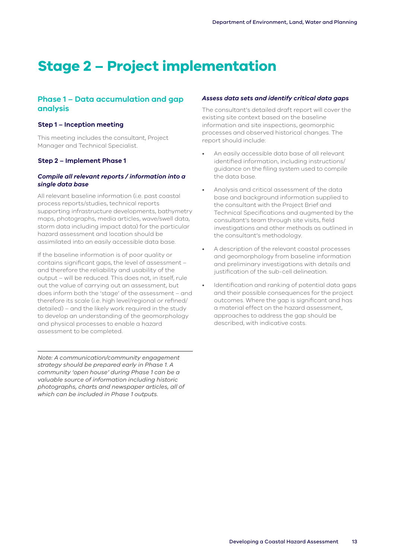### **Stage 2 – Project implementation**

#### **Phase 1 – Data accumulation and gap analysis**

#### **Step 1 – Inception meeting**

This meeting includes the consultant, Project Manager and Technical Specialist.

#### **Step 2 – Implement Phase 1**

#### *Compile all relevant reports / information into a single data base*

All relevant baseline information (i.e. past coastal process reports/studies, technical reports supporting infrastructure developments, bathymetry maps, photographs, media articles, wave/swell data, storm data including impact data) for the particular hazard assessment and location should be assimilated into an easily accessible data base.

If the baseline information is of poor quality or contains significant gaps, the level of assessment – and therefore the reliability and usability of the output – will be reduced. This does not, in itself, rule out the value of carrying out an assessment, but does inform both the 'stage' of the assessment – and therefore its scale (i.e. high level/regional or refined/ detailed) – and the likely work required in the study to develop an understanding of the geomorphology and physical processes to enable a hazard assessment to be completed.

*Note: A communication/community engagement strategy should be prepared early in Phase 1. A community 'open house' during Phase 1 can be a valuable source of information including historic photographs, charts and newspaper articles, all of which can be included in Phase 1 outputs.* 

#### *Assess data sets and identify critical data gaps*

The consultant's detailed draft report will cover the existing site context based on the baseline information and site inspections, geomorphic processes and observed historical changes. The report should include:

- An easily accessible data base of all relevant identified information, including instructions/ guidance on the filing system used to compile the data base.
- Analysis and critical assessment of the data base and background information supplied to the consultant with the Project Brief and Technical Specifications and augmented by the consultant's team through site visits, field investigations and other methods as outlined in the consultant's methodology.
- A description of the relevant coastal processes and geomorphology from baseline information and preliminary investigations with details and justification of the sub-cell delineation.
- Identification and ranking of potential data gaps and their possible consequences for the project outcomes. Where the gap is significant and has a material effect on the hazard assessment, approaches to address the gap should be described, with indicative costs.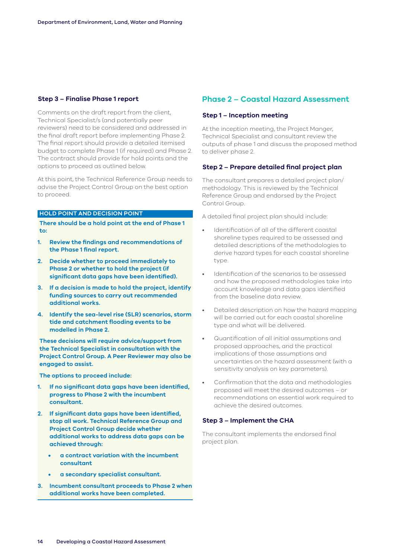#### **Step 3 – Finalise Phase 1 report**

Comments on the draft report from the client, Technical Specialist/s (and potentially peer reviewers) need to be considered and addressed in the final draft report before implementing Phase 2. The final report should provide a detailed itemised budget to complete Phase 1 (if required) and Phase 2. The contract should provide for hold points and the options to proceed as outlined below.

At this point, the Technical Reference Group needs to advise the Project Control Group on the best option to proceed.

#### **HOLD POINT AND DECISION POINT**

**There should be a hold point at the end of Phase 1 to:**

- **1. Review the findings and recommendations of the Phase 1 final report.**
- **2. Decide whether to proceed immediately to Phase 2 or whether to hold the project (if significant data gaps have been identified).**
- **3. If a decision is made to hold the project, identify funding sources to carry out recommended additional works.**
- **4. Identify the sea-level rise (SLR) scenarios, storm tide and catchment flooding events to be modelled in Phase 2.**

**These decisions will require advice/support from the Technical Specialist in consultation with the Project Control Group. A Peer Reviewer may also be engaged to assist.** 

**The options to proceed include:**

- **1. If no significant data gaps have been identified, progress to Phase 2 with the incumbent consultant.**
- **2. If significant data gaps have been identified, stop all work. Technical Reference Group and Project Control Group decide whether additional works to address data gaps can be achieved through:**
	- **• a contract variation with the incumbent consultant**
	- **• a secondary specialist consultant.**
- **3. Incumbent consultant proceeds to Phase 2 when additional works have been completed.**

#### **Phase 2 – Coastal Hazard Assessment**

#### **Step 1 – Inception meeting**

At the inception meeting, the Project Manger, Technical Specialist and consultant review the outputs of phase 1 and discuss the proposed method to deliver phase 2.

#### **Step 2 – Prepare detailed final project plan**

The consultant prepares a detailed project plan/ methodology. This is reviewed by the Technical Reference Group and endorsed by the Project Control Group.

A detailed final project plan should include:

- Identification of all of the different coastal shoreline types required to be assessed and detailed descriptions of the methodologies to derive hazard types for each coastal shoreline type.
- Identification of the scenarios to be assessed and how the proposed methodologies take into account knowledge and data gaps identified from the baseline data review.
- Detailed description on how the hazard mapping will be carried out for each coastal shoreline type and what will be delivered.
- Quantification of all initial assumptions and proposed approaches, and the practical implications of those assumptions and uncertainties on the hazard assessment (with a sensitivity analysis on key parameters).
- Confirmation that the data and methodologies proposed will meet the desired outcomes – or recommendations on essential work required to achieve the desired outcomes.

#### **Step 3 – Implement the CHA**

The consultant implements the endorsed final project plan.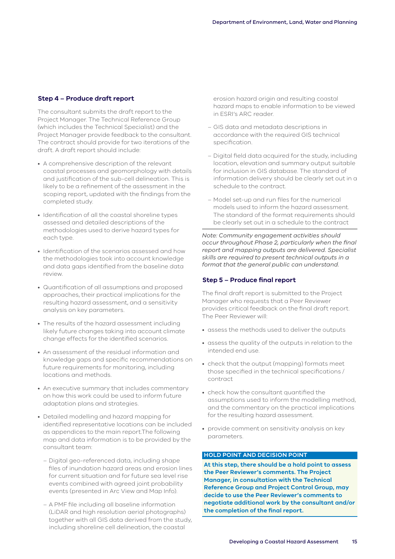#### **Step 4 – Produce draft report**

The consultant submits the draft report to the Project Manager. The Technical Reference Group (which includes the Technical Specialist) and the Project Manager provide feedback to the consultant. The contract should provide for two iterations of the draft. A draft report should include:

- • A comprehensive description of the relevant coastal processes and geomorphology with details and justification of the sub-cell delineation. This is likely to be a refinement of the assessment in the scoping report, updated with the findings from the completed study.
- Identification of all the coastal shoreline types assessed and detailed descriptions of the methodologies used to derive hazard types for each type.
- Identification of the scenarios assessed and how the methodologies took into account knowledge and data gaps identified from the baseline data review.
- Quantification of all assumptions and proposed approaches, their practical implications for the resulting hazard assessment, and a sensitivity analysis on key parameters.
- The results of the hazard assessment including likely future changes taking into account climate change effects for the identified scenarios.
- • An assessment of the residual information and knowledge gaps and specific recommendations on future requirements for monitoring, including locations and methods.
- An executive summary that includes commentary on how this work could be used to inform future adaptation plans and strategies.
- Detailed modelling and hazard mapping for identified representative locations can be included as appendices to the main report.The following map and data information is to be provided by the consultant team:
	- Digital geo-referenced data, including shape files of inundation hazard areas and erosion lines for current situation and for future sea level rise events combined with agreed joint probability events (presented in Arc View and Map Info).
	- A PMF file including all baseline information (LiDAR and high resolution aerial photographs) together with all GIS data derived from the study, including shoreline cell delineation, the coastal

erosion hazard origin and resulting coastal hazard maps to enable information to be viewed in ESRI's ARC reader.

- GIS data and metadata descriptions in accordance with the required GIS technical specification.
- Digital field data acquired for the study, including location, elevation and summary output suitable for inclusion in GIS database. The standard of information delivery should be clearly set out in a schedule to the contract.
- Model set-up and run files for the numerical models used to inform the hazard assessment. The standard of the format requirements should be clearly set out in a schedule to the contract

*Note: Community engagement activities should occur throughout Phase 2, particularly when the final report and mapping outputs are delivered. Specialist skills are required to present technical outputs in a format that the general public can understand.* 

#### **Step 5 – Produce final report**

The final draft report is submitted to the Project Manager who requests that a Peer Reviewer provides critical feedback on the final draft report. The Peer Reviewer will:

- • assess the methods used to deliver the outputs
- assess the quality of the outputs in relation to the intended end use.
- check that the output (mapping) formats meet those specified in the technical specifications / contract
- check how the consultant quantified the assumptions used to inform the modelling method, and the commentary on the practical implications for the resulting hazard assessment.
- provide comment on sensitivity analysis on key parameters.

#### **HOLD POINT AND DECISION POINT**

**At this step, there should be a hold point to assess the Peer Reviewer's comments. The Project Manager, in consultation with the Technical Reference Group and Project Control Group, may decide to use the Peer Reviewer's comments to negotiate additional work by the consultant and/or the completion of the final report.**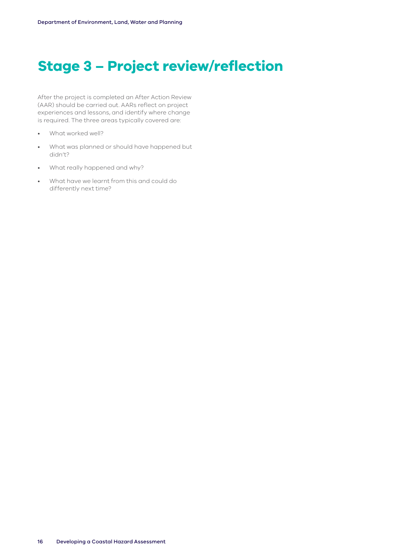### **Stage 3 – Project review/reflection**

After the project is completed an After Action Review (AAR) should be carried out. AARs reflect on project experiences and lessons, and identify where change is required. The three areas typically covered are:

- What worked well?
- • What was planned or should have happened but didn't?
- • What really happened and why?
- What have we learnt from this and could do differently next time?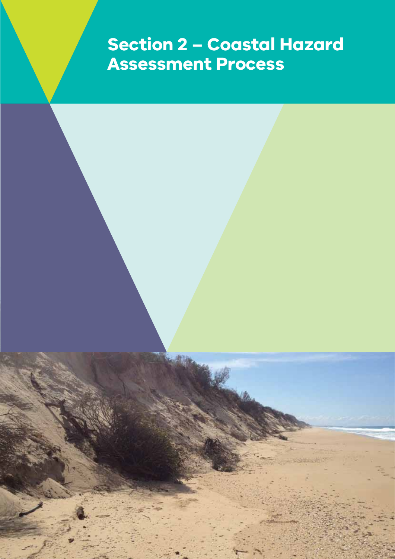## **Section 2 – Coastal Hazard Assessment Process**

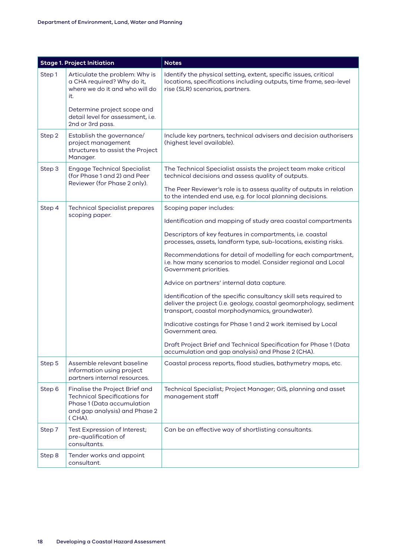|        | <b>Stage 1. Project Initiation</b>                                                                                                             | <b>Notes</b>                                                                                                                                                                                |
|--------|------------------------------------------------------------------------------------------------------------------------------------------------|---------------------------------------------------------------------------------------------------------------------------------------------------------------------------------------------|
| Step 1 | Articulate the problem: Why is<br>a CHA required? Why do it,<br>where we do it and who will do<br>it.                                          | Identify the physical setting, extent, specific issues, critical<br>locations, specifications including outputs, time frame, sea-level<br>rise (SLR) scenarios, partners.                   |
|        | Determine project scope and<br>detail level for assessment, i.e.<br>2nd or 3rd pass.                                                           |                                                                                                                                                                                             |
| Step 2 | Establish the governance/<br>project management<br>structures to assist the Project<br>Manager.                                                | Include key partners, technical advisers and decision authorisers<br>(highest level available).                                                                                             |
| Step 3 | <b>Engage Technical Specialist</b><br>(for Phase 1 and 2) and Peer<br>Reviewer (for Phase 2 only).                                             | The Technical Specialist assists the project team make critical<br>technical decisions and assess quality of outputs.                                                                       |
|        |                                                                                                                                                | The Peer Reviewer's role is to assess quality of outputs in relation<br>to the intended end use, e.g. for local planning decisions.                                                         |
| Step 4 | <b>Technical Specialist prepares</b>                                                                                                           | Scoping paper includes:                                                                                                                                                                     |
|        | scoping paper.                                                                                                                                 | Identification and mapping of study area coastal compartments                                                                                                                               |
|        |                                                                                                                                                | Descriptors of key features in compartments, i.e. coastal<br>processes, assets, landform type, sub-locations, existing risks.                                                               |
|        |                                                                                                                                                | Recommendations for detail of modelling for each compartment,<br>i.e. how many scenarios to model. Consider regional and Local<br>Government priorities.                                    |
|        |                                                                                                                                                | Advice on partners' internal data capture.                                                                                                                                                  |
|        |                                                                                                                                                | Identification of the specific consultancy skill sets required to<br>deliver the project (i.e. geology, coastal geomorphology, sediment<br>transport, coastal morphodynamics, groundwater). |
|        |                                                                                                                                                | Indicative costings for Phase 1 and 2 work itemised by Local<br>Government area.                                                                                                            |
|        |                                                                                                                                                | Draft Project Brief and Technical Specification for Phase 1 (Data<br>accumulation and gap analysis) and Phase 2 (CHA).                                                                      |
| Step 5 | Assemble relevant baseline<br>information using project<br>partners internal resources.                                                        | Coastal process reports, flood studies, bathymetry maps, etc.                                                                                                                               |
| Step 6 | Finalise the Project Brief and<br><b>Technical Specifications for</b><br>Phase 1 (Data accumulation<br>and gap analysis) and Phase 2<br>(CHA). | Technical Specialist; Project Manager; GIS, planning and asset<br>management staff                                                                                                          |
| Step 7 | Test Expression of Interest;<br>pre-qualification of<br>consultants.                                                                           | Can be an effective way of shortlisting consultants.                                                                                                                                        |
| Step 8 | Tender works and appoint<br>consultant.                                                                                                        |                                                                                                                                                                                             |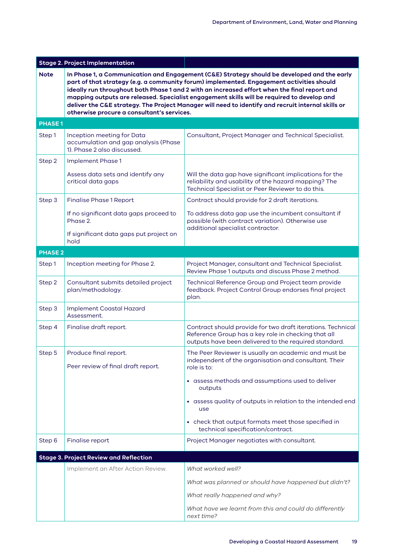|                | <b>Stage 2. Project Implementation</b>                                                                                                                                                                                                                                                                                                                                                                                                                                                                                                    |                                                                                                                                                                             |  |  |
|----------------|-------------------------------------------------------------------------------------------------------------------------------------------------------------------------------------------------------------------------------------------------------------------------------------------------------------------------------------------------------------------------------------------------------------------------------------------------------------------------------------------------------------------------------------------|-----------------------------------------------------------------------------------------------------------------------------------------------------------------------------|--|--|
| <b>Note</b>    | In Phase 1, a Communication and Engagement (C&E) Strategy should be developed and the early<br>part of that strategy (e.g. a community forum) implemented. Engagement activities should<br>ideally run throughout both Phase 1 and 2 with an increased effort when the final report and<br>mapping outputs are released. Specialist engagement skills will be required to develop and<br>deliver the C&E strategy. The Project Manager will need to identify and recruit internal skills or<br>otherwise procure a consultant's services. |                                                                                                                                                                             |  |  |
| <b>PHASE1</b>  |                                                                                                                                                                                                                                                                                                                                                                                                                                                                                                                                           |                                                                                                                                                                             |  |  |
| Step1          | Inception meeting for Data<br>accumulation and gap analysis (Phase<br>1). Phase 2 also discussed.                                                                                                                                                                                                                                                                                                                                                                                                                                         | Consultant, Project Manager and Technical Specialist.                                                                                                                       |  |  |
| Step 2         | Implement Phase 1                                                                                                                                                                                                                                                                                                                                                                                                                                                                                                                         |                                                                                                                                                                             |  |  |
|                | Assess data sets and identify any<br>critical data gaps                                                                                                                                                                                                                                                                                                                                                                                                                                                                                   | Will the data gap have significant implications for the<br>reliability and usability of the hazard mapping? The<br>Technical Specialist or Peer Reviewer to do this.        |  |  |
| Step 3         | Finalise Phase 1 Report                                                                                                                                                                                                                                                                                                                                                                                                                                                                                                                   | Contract should provide for 2 draft iterations.                                                                                                                             |  |  |
|                | If no significant data gaps proceed to<br>Phase 2.<br>If significant data gaps put project on                                                                                                                                                                                                                                                                                                                                                                                                                                             | To address data gap use the incumbent consultant if<br>possible (with contract variation). Otherwise use<br>additional specialist contractor.                               |  |  |
|                | hold                                                                                                                                                                                                                                                                                                                                                                                                                                                                                                                                      |                                                                                                                                                                             |  |  |
| <b>PHASE 2</b> |                                                                                                                                                                                                                                                                                                                                                                                                                                                                                                                                           |                                                                                                                                                                             |  |  |
| Step1          | Inception meeting for Phase 2.                                                                                                                                                                                                                                                                                                                                                                                                                                                                                                            | Project Manager, consultant and Technical Specialist.<br>Review Phase 1 outputs and discuss Phase 2 method.                                                                 |  |  |
| Step 2         | Consultant submits detailed project<br>plan/methodology.                                                                                                                                                                                                                                                                                                                                                                                                                                                                                  | Technical Reference Group and Project team provide<br>feedback. Project Control Group endorses final project<br>plan.                                                       |  |  |
| Step 3         | <b>Implement Coastal Hazard</b><br>Assessment.                                                                                                                                                                                                                                                                                                                                                                                                                                                                                            |                                                                                                                                                                             |  |  |
| Step 4         | Finalise draft report.                                                                                                                                                                                                                                                                                                                                                                                                                                                                                                                    | Contract should provide for two draft iterations. Technical<br>Reference Group has a key role in checking that all<br>outputs have been delivered to the required standard. |  |  |
| Step 5         | Produce final report.<br>Peer review of final draft report.                                                                                                                                                                                                                                                                                                                                                                                                                                                                               | The Peer Reviewer is usually an academic and must be<br>independent of the organisation and consultant. Their<br>role is to:                                                |  |  |
|                |                                                                                                                                                                                                                                                                                                                                                                                                                                                                                                                                           | · assess methods and assumptions used to deliver<br>outputs                                                                                                                 |  |  |
|                |                                                                                                                                                                                                                                                                                                                                                                                                                                                                                                                                           | • assess quality of outputs in relation to the intended end<br>use                                                                                                          |  |  |
|                |                                                                                                                                                                                                                                                                                                                                                                                                                                                                                                                                           | • check that output formats meet those specified in<br>technical specification/contract.                                                                                    |  |  |
| Step 6         | Finalise report                                                                                                                                                                                                                                                                                                                                                                                                                                                                                                                           | Project Manager negotiates with consultant.                                                                                                                                 |  |  |
|                | <b>Stage 3. Project Review and Reflection</b>                                                                                                                                                                                                                                                                                                                                                                                                                                                                                             |                                                                                                                                                                             |  |  |
|                | Implement an After Action Review.                                                                                                                                                                                                                                                                                                                                                                                                                                                                                                         | What worked well?                                                                                                                                                           |  |  |
|                |                                                                                                                                                                                                                                                                                                                                                                                                                                                                                                                                           | What was planned or should have happened but didn't?                                                                                                                        |  |  |
|                |                                                                                                                                                                                                                                                                                                                                                                                                                                                                                                                                           | What really happened and why?                                                                                                                                               |  |  |
|                |                                                                                                                                                                                                                                                                                                                                                                                                                                                                                                                                           | What have we learnt from this and could do differently<br>next time?                                                                                                        |  |  |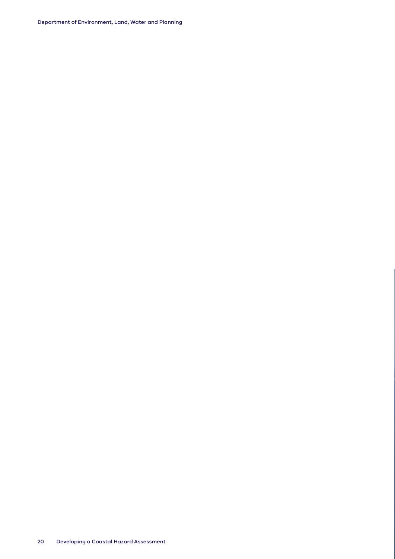Department of Environment, Land, Water and Planning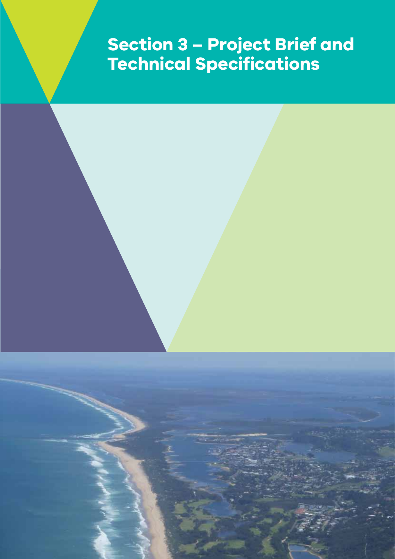## **Section 3 – Project Brief and Technical Specifications**

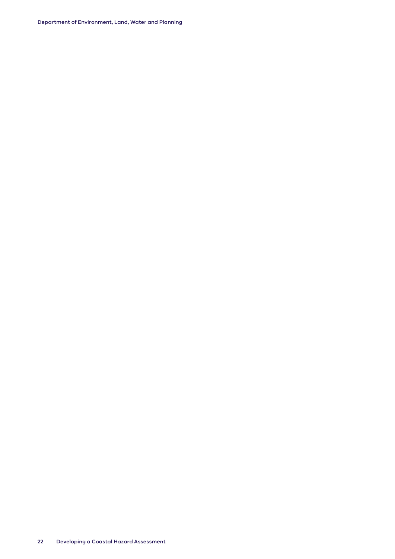Department of Environment, Land, Water and Planning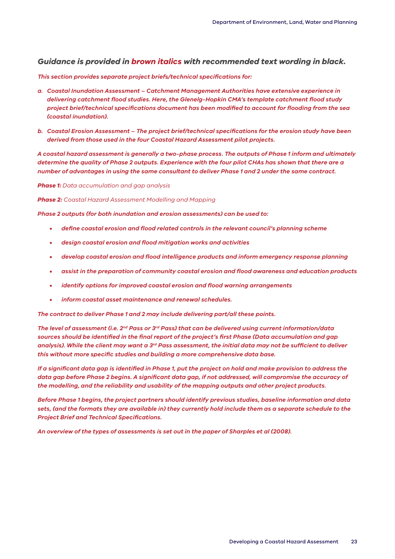#### *Guidance is provided in brown italics with recommended text wording in black.*

*This section provides separate project briefs/technical specifications for:*

- *a. Coastal Inundation Assessment Catchment Management Authorities have extensive experience in delivering catchment flood studies. Here, the Glenelg-Hopkin CMA's template catchment flood study project brief/technical specifications document has been modified to account for flooding from the sea (coastal inundation).*
- *b. Coastal Erosion Assessment The project brief/technical specifications for the erosion study have been derived from those used in the four Coastal Hazard Assessment pilot projects.*

*A coastal hazard assessment is generally a two-phase process. The outputs of Phase 1 inform and ultimately determine the quality of Phase 2 outputs. Experience with the four pilot CHAs has shown that there are a number of advantages in using the same consultant to deliver Phase 1 and 2 under the same contract.* 

*Phase 1: Data accumulation and gap analysis*

*Phase 2: Coastal Hazard Assessment Modelling and Mapping* 

*Phase 2 outputs (for both inundation and erosion assessments) can be used to:*

- *• define coastal erosion and flood related controls in the relevant council's planning scheme*
- *• design coastal erosion and flood mitigation works and activities*
- *• develop coastal erosion and flood intelligence products and inform emergency response planning*
- *• assist in the preparation of community coastal erosion and flood awareness and education products*
- *identify options for improved coastal erosion and flood warning arrangements*
- *• inform coastal asset maintenance and renewal schedules.*

*The contract to deliver Phase 1 and 2 may include delivering part/all these points.*

*The level of assessment (i.e. 2nd Pass or 3rd Pass) that can be delivered using current information/data sources should be identified in the final report of the project's first Phase (Data accumulation and gap analysis). While the client may want a 3rd Pass assessment, the initial data may not be sufficient to deliver this without more specific studies and building a more comprehensive data base.* 

*If a significant data gap is identified in Phase 1, put the project on hold and make provision to address the data gap before Phase 2 begins. A significant data gap, if not addressed, will compromise the accuracy of the modelling, and the reliability and usability of the mapping outputs and other project products.* 

*Before Phase 1 begins, the project partners should identify previous studies, baseline information and data sets, (and the formats they are available in) they currently hold include them as a separate schedule to the Project Brief and Technical Specifications.*

*An overview of the types of assessments is set out in the paper of Sharples et al (2008).*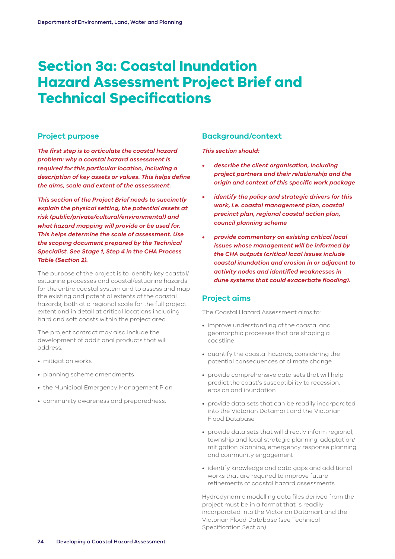### **Section 3a: Coastal Inundation Hazard Assessment Project Brief and Technical Specifications**

#### **Project purpose**

*The first step is to articulate the coastal hazard problem: why a coastal hazard assessment is required for this particular location, including a description of key assets or values. This helps define the aims, scale and extent of the assessment.*

*This section of the Project Brief needs to succinctly explain the physical setting, the potential assets at risk (public/private/cultural/environmental) and what hazard mapping will provide or be used for. This helps determine the scale of assessment. Use the scoping document prepared by the Technical Specialist. See Stage 1, Step 4 in the CHA Process Table (Section 2).* 

The purpose of the project is to identify key coastal/ estuarine processes and coastal/estuarine hazards for the entire coastal system and to assess and map the existing and potential extents of the coastal hazards, both at a regional scale for the full project extent and in detail at critical locations including hard and soft coasts within the project area.

The project contract may also include the development of additional products that will address:

- mitigation works
- planning scheme amendments
- the Municipal Emergency Management Plan
- • community awareness and preparedness.

#### **Background/context**

*This section should:*

- *• describe the client organisation, including project partners and their relationship and the origin and context of this specific work package*
- *• identify the policy and strategic drivers for this work, i.e. coastal management plan, coastal precinct plan, regional coastal action plan, council planning scheme*
- *• provide commentary on existing critical local issues whose management will be informed by the CHA outputs (critical local issues include coastal inundation and erosion in or adjacent to activity nodes and identified weaknesses in dune systems that could exacerbate flooding).*

#### **Project aims**

The Coastal Hazard Assessment aims to:

- improve understanding of the coastal and geomorphic processes that are shaping a coastline
- • quantify the coastal hazards, considering the potential consequences of climate change.
- provide comprehensive data sets that will help predict the coast's susceptibility to recession, erosion and inundation
- provide data sets that can be readily incorporated into the Victorian Datamart and the Victorian Flood Database
- provide data sets that will directly inform regional, township and local strategic planning, adaptation/ mitigation planning, emergency response planning and community engagement
- identify knowledge and data gaps and additional works that are required to improve future refinements of coastal hazard assessments.

Hydrodynamic modelling data files derived from the project must be in a format that is readily incorporated into the Victorian Datamart and the Victorian Flood Database (see Technical Specification Section).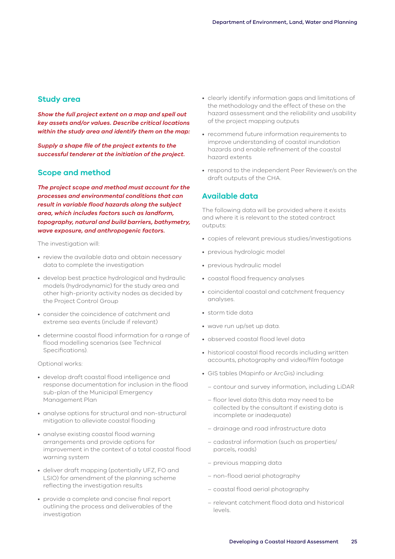#### **Study area**

*Show the full project extent on a map and spell out key assets and/or values. Describe critical locations within the study area and identify them on the map:*

*Supply a shape file of the project extents to the successful tenderer at the initiation of the project.*

#### **Scope and method**

*The project scope and method must account for the processes and environmental conditions that can result in variable flood hazards along the subject area, which includes factors such as landform, topography, natural and build barriers, bathymetry, wave exposure, and anthropogenic factors.* 

The investigation will:

- review the available data and obtain necessary data to complete the investigation
- develop best practice hydrological and hydraulic models (hydrodynamic) for the study area and other high-priority activity nodes as decided by the Project Control Group
- • consider the coincidence of catchment and extreme sea events (include if relevant)
- determine coastal flood information for a range of flood modelling scenarios (see Technical Specifications).

Optional works:

- • develop draft coastal flood intelligence and response documentation for inclusion in the flood sub-plan of the Municipal Emergency Management Plan
- analyse options for structural and non-structural mitigation to alleviate coastal flooding
- analyse existing coastal flood warning arrangements and provide options for improvement in the context of a total coastal flood warning system
- deliver draft mapping (potentially UFZ, FO and LSIO) for amendment of the planning scheme reflecting the investigation results
- provide a complete and concise final report outlining the process and deliverables of the investigation
- • clearly identify information gaps and limitations of the methodology and the effect of these on the hazard assessment and the reliability and usability of the project mapping outputs
- • recommend future information requirements to improve understanding of coastal inundation hazards and enable refinement of the coastal hazard extents
- respond to the independent Peer Reviewer/s on the draft outputs of the CHA.

#### **Available data**

The following data will be provided where it exists and where it is relevant to the stated contract outputs:

- copies of relevant previous studies/investigations
- previous hydrologic model
- previous hydraulic model
- coastal flood frequency analyses
- • coincidental coastal and catchment frequency analyses.
- storm tide data
- wave run up/set up data.
- observed coastal flood level data
- historical coastal flood records including written accounts, photography and video/film footage
- GIS tables (Mapinfo or ArcGis) including:
	- contour and survey information, including LiDAR
	- floor level data (this data may need to be collected by the consultant if existing data is incomplete or inadequate)
	- drainage and road infrastructure data
	- cadastral information (such as properties/ parcels, roads)
	- previous mapping data
	- non-flood aerial photography
	- coastal flood aerial photography
	- relevant catchment flood data and historical levels.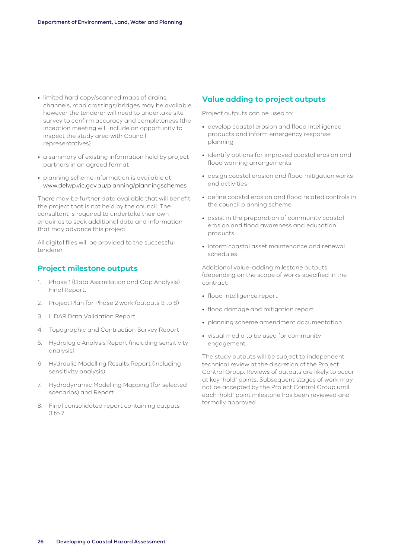- limited hard copy/scanned maps of drains, channels, road crossings/bridges may be available, however the tenderer will need to undertake site survey to confirm accuracy and completeness (the inception meeting will include an opportunity to inspect the study area with Council representatives)
- a summary of existing information held by project partners in an agreed format
- • planning scheme information is available at www.delwp.vic.gov.au/planning/planningschemes

There may be further data available that will benefit the project that is not held by the council. The consultant is required to undertake their own enquiries to seek additional data and information that may advance this project.

All digital files will be provided to the successful tenderer.

#### **Project milestone outputs**

- 1. Phase 1 (Data Assimilation and Gap Analysis) Final Report.
- 2. Project Plan for Phase 2 work (outputs 3 to 8)
- 3. LiDAR Data Validation Report
- 4. Topographic and Contruction Survey Report
- 5. Hydrologic Analysis Report (including sensitivity analysis)
- 6. Hydraulic Modelling Results Report (including sensitivity analysis)
- 7. Hydrodynamic Modelling Mapping (for selected scenarios) and Report.
- 8. Final consolidated report containing outputs 3 to 7.

#### **Value adding to project outputs**

Project outputs can be used to:

- develop coastal erosion and flood intelligence products and inform emergency response planning
- identify options for improved coastal erosion and flood warning arrangements
- design coastal erosion and flood mitigation works and activities
- • define coastal erosion and flood related controls in the council planning scheme
- assist in the preparation of community coastal erosion and flood awareness and education products
- inform coastal asset maintenance and renewal schedules.

Additional value-adding milestone outputs (depending on the scope of works specified in the contract:

- flood intelligence report
- flood damage and mitigation report
- planning scheme amendment documentation
- • visual media to be used for community engagement.

The study outputs will be subject to independent technical review at the discretion of the Project Control Group. Reviews of outputs are likely to occur at key 'hold' points. Subsequent stages of work may not be accepted by the Project Control Group until each 'hold' point milestone has been reviewed and formally approved.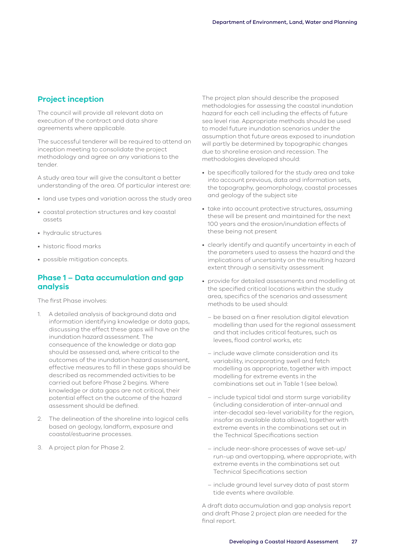### **Project inception**

The council will provide all relevant data on execution of the contract and data share agreements where applicable.

The successful tenderer will be required to attend an inception meeting to consolidate the project methodology and agree on any variations to the tender.

A study area tour will give the consultant a better understanding of the area. Of particular interest are:

- land use types and variation across the study area
- coastal protection structures and key coastal assets
- hydraulic structures
- historic flood marks
- possible mitigation concepts.

#### **Phase 1 – Data accumulation and gap analysis**

The first Phase involves:

- 1. A detailed analysis of background data and information identifying knowledge or data gaps, discussing the effect these gaps will have on the inundation hazard assessment. The consequence of the knowledge or data gap should be assessed and, where critical to the outcomes of the inundation hazard assessment, effective measures to fill in these gaps should be described as recommended activities to be carried out before Phase 2 begins. Where knowledge or data gaps are not critical, their potential effect on the outcome of the hazard assessment should be defined.
- 2. The delineation of the shoreline into logical cells based on geology, landform, exposure and coastal/estuarine processes.
- 3. A project plan for Phase 2.

The project plan should describe the proposed methodologies for assessing the coastal inundation hazard for each cell including the effects of future sea level rise. Appropriate methods should be used to model future inundation scenarios under the assumption that future areas exposed to inundation will partly be determined by topographic changes due to shoreline erosion and recession. The methodologies developed should:

- be specifically tailored for the study area and take into account previous, data and information sets, the topography, geomorphology, coastal processes and geology of the subject site
- take into account protective structures, assuming these will be present and maintained for the next 100 years and the erosion/inundation effects of these being not present
- clearly identify and quantify uncertainty in each of the parameters used to assess the hazard and the implications of uncertainty on the resulting hazard extent through a sensitivity assessment
- provide for detailed assessments and modelling at the specified critical locations within the study area, specifics of the scenarios and assessment methods to be used should:
	- be based on a finer resolution digital elevation modelling than used for the regional assessment and that includes critical features, such as levees, flood control works, etc
	- include wave climate consideration and its variability, incorporating swell and fetch modelling as appropriate, together with impact modelling for extreme events in the combinations set out in Table 1 (see below).
	- include typical tidal and storm surge variability (including consideration of inter-annual and inter-decadal sea-level variability for the region, insofar as available data allows), together with extreme events in the combinations set out in the Technical Specifications section
	- include near-shore processes of wave set-up/ run-up and overtopping, where appropriate, with extreme events in the combinations set out Technical Specifications section
	- include ground level survey data of past storm tide events where available.

A draft data accumulation and gap analysis report and draft Phase 2 project plan are needed for the final report.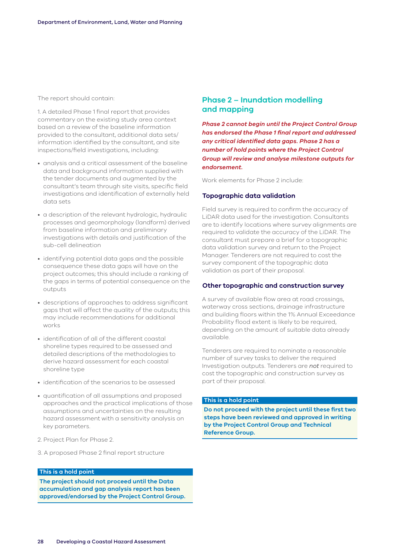The report should contain:

1. A detailed Phase 1 final report that provides commentary on the existing study area context based on a review of the baseline information provided to the consultant, additional data sets/ information identified by the consultant, and site inspections/field investigations, including:

- analysis and a critical assessment of the baseline data and background information supplied with the tender documents and augmented by the consultant's team through site visits, specific field investigations and identification of externally held data sets
- a description of the relevant hydrologic, hydraulic processes and geomorphology (landform) derived from baseline information and preliminary investigations with details and justification of the sub-cell delineation
- identifying potential data gaps and the possible consequence these data gaps will have on the project outcomes; this should include a ranking of the gaps in terms of potential consequence on the outputs
- descriptions of approaches to address significant gaps that will affect the quality of the outputs; this may include recommendations for additional works
- identification of all of the different coastal shoreline types required to be assessed and detailed descriptions of the methodologies to derive hazard assessment for each coastal shoreline type
- identification of the scenarios to be assessed
- quantification of all assumptions and proposed approaches and the practical implications of those assumptions and uncertainties on the resulting hazard assessment with a sensitivity analysis on key parameters.
- 2. Project Plan for Phase 2.
- 3. A proposed Phase 2 final report structure

#### **This is a hold point**

**The project should not proceed until the Data accumulation and gap analysis report has been approved/endorsed by the Project Control Group.**

#### **Phase 2 – Inundation modelling and mapping**

*Phase 2 cannot begin until the Project Control Group has endorsed the Phase 1 final report and addressed any critical identified data gaps. Phase 2 has a number of hold points where the Project Control Group will review and analyse milestone outputs for endorsement.* 

Work elements for Phase 2 include:

#### **Topographic data validation**

Field survey is required to confirm the accuracy of LiDAR data used for the investigation. Consultants are to identify locations where survey alignments are required to validate the accuracy of the LiDAR. The consultant must prepare a brief for a topographic data validation survey and return to the Project Manager. Tenderers are not required to cost the survey component of the topographic data validation as part of their proposal.

#### **Other topographic and construction survey**

A survey of available flow area at road crossings, waterway cross sections, drainage infrastructure and building floors within the 1% Annual Exceedance Probability flood extent is likely to be required, depending on the amount of suitable data already available.

Tenderers are required to nominate a reasonable number of survey tasks to deliver the required Investigation outputs. Tenderers are *not* required to cost the topographic and construction survey as part of their proposal.

#### **This is a hold point**

**Do not proceed with the project until these first two steps have been reviewed and approved in writing by the Project Control Group and Technical Reference Group.**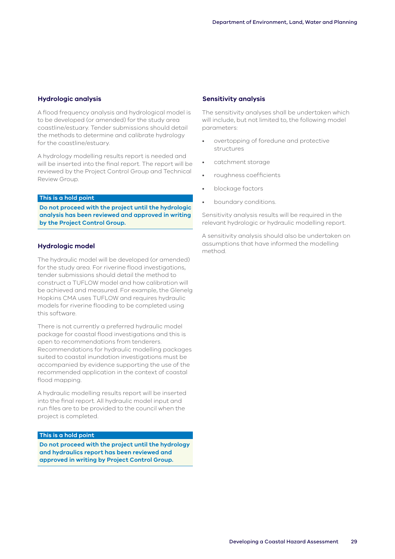#### **Hydrologic analysis**

A flood frequency analysis and hydrological model is to be developed (or amended) for the study area coastline/estuary. Tender submissions should detail the methods to determine and calibrate hydrology for the coastline/estuary.

A hydrology modelling results report is needed and will be inserted into the final report. The report will be reviewed by the Project Control Group and Technical Review Group.

#### **This is a hold point**

**Do not proceed with the project until the hydrologic analysis has been reviewed and approved in writing by the Project Control Group.**

#### **Hydrologic model**

The hydraulic model will be developed (or amended) for the study area. For riverine flood investigations, tender submissions should detail the method to construct a TUFLOW model and how calibration will be achieved and measured. For example, the Glenelg Hopkins CMA uses TUFLOW and requires hydraulic models for riverine flooding to be completed using this software.

There is not currently a preferred hydraulic model package for coastal flood investigations and this is open to recommendations from tenderers. Recommendations for hydraulic modelling packages suited to coastal inundation investigations must be accompanied by evidence supporting the use of the recommended application in the context of coastal flood mapping.

A hydraulic modelling results report will be inserted into the final report. All hydraulic model input and run files are to be provided to the council when the project is completed.

#### **This is a hold point**

**Do not proceed with the project until the hydrology and hydraulics report has been reviewed and approved in writing by Project Control Group.**

#### **Sensitivity analysis**

The sensitivity analyses shall be undertaken which will include, but not limited to, the following model parameters:

- overtopping of foredune and protective structures
- catchment storage
- roughness coefficients
- blockage factors
- boundary conditions.

Sensitivity analysis results will be required in the relevant hydrologic or hydraulic modelling report.

A sensitivity analysis should also be undertaken on assumptions that have informed the modelling method.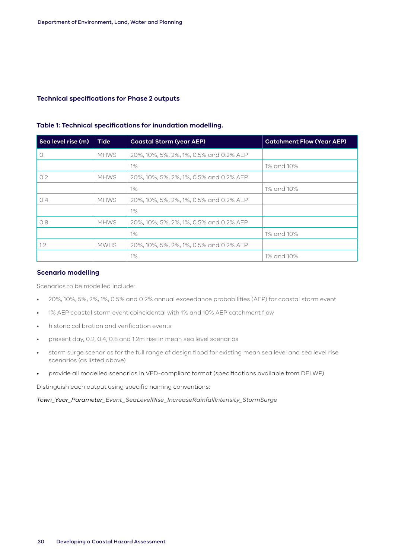#### **Technical specifications for Phase 2 outputs**

#### **Table 1: Technical specifications for inundation modelling.**

| Sea level rise (m) | <b>Tide</b> | <b>Coastal Storm (year AEP)</b>         | <b>Catchment Flow (Year AEP)</b> |
|--------------------|-------------|-----------------------------------------|----------------------------------|
|                    | <b>MHWS</b> | 20%, 10%, 5%, 2%, 1%, 0.5% and 0.2% AEP |                                  |
|                    |             | $1\%$                                   | 1% and 10%                       |
| 0.2                | <b>MHWS</b> | 20%, 10%, 5%, 2%, 1%, 0.5% and 0.2% AEP |                                  |
|                    |             | $1\%$                                   | 1% and 10%                       |
| 0.4                | <b>MHWS</b> | 20%, 10%, 5%, 2%, 1%, 0.5% and 0.2% AEP |                                  |
|                    |             | $1\%$                                   |                                  |
| 0.8                | <b>MHWS</b> | 20%, 10%, 5%, 2%, 1%, 0.5% and 0.2% AEP |                                  |
|                    |             | $1\%$                                   | 1% and 10%                       |
| 1.2                | <b>MWHS</b> | 20%, 10%, 5%, 2%, 1%, 0.5% and 0.2% AEP |                                  |
|                    |             | $1\%$                                   | 1% and 10%                       |

#### **Scenario modelling**

Scenarios to be modelled include:

- • 20%, 10%, 5%, 2%, 1%, 0.5% and 0.2% annual exceedance probabilities (AEP) for coastal storm event
- 1% AEP coastal storm event coincidental with 1% and 10% AEP catchment flow
- historic calibration and verification events
- • present day, 0.2, 0.4, 0.8 and 1.2m rise in mean sea level scenarios
- storm surge scenarios for the full range of design flood for existing mean sea level and sea level rise scenarios (as listed above)
- provide all modelled scenarios in VFD-compliant format (specifications available from DELWP)

Distinguish each output using specific naming conventions:

*Town\_Year\_Parameter\_Event\_SeaLevelRise\_IncreaseRainfallIntensity\_StormSurge*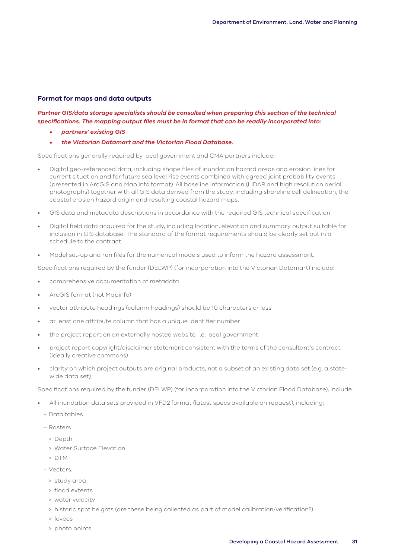#### **Format for maps and data outputs**

*Partner GIS/data storage specialists should be consulted when preparing this section of the technical specifications. The mapping output files must be in format that can be readily incorporated into:*

- **partners' existing GIS**
- *• the Victorian Datamart and the Victorian Flood Database.*

Specifications generally required by local government and CMA partners include:

- Digital geo-referenced data, including shape files of inundation hazard areas and erosion lines for current situation and for future sea level rise events combined with agreed joint probability events (presented in ArcGIS and Map Info format). All baseline information (LiDAR and high resolution aerial photographs) together with all GIS data derived from the study, including shoreline cell delineation, the coastal erosion hazard origin and resulting coastal hazard maps.
- GIS data and metadata descriptions in accordance with the required GIS technical specification
- Digital field data acquired for the study, including location, elevation and summary output suitable for inclusion in GIS database. The standard of the format requirements should be clearly set out in a schedule to the contract.
- Model set-up and run files for the numerical models used to inform the hazard assessment.

Specifications required by the funder (DELWP) (for incorporation into the Victorian Datamart) include:

- comprehensive documentation of metadata
- ArcGIS format (not Mapinfo)
- vector attribute headings (column headings) should be 10 characters or less
- at least one attribute column that has a unique identifier number
- the project report on an externally hosted website, i.e. local government
- project report copyright/disclaimer statement consistent with the terms of the consultant's contract (ideally creative commons)
- clarity on which project outputs are original products, not a subset of an existing data set (e.g. a statewide data set).

Specifications required by the funder (DELWP) (for incorporation into the Victorian Flood Database), include:

- All inundation data sets provided in VFD2 format (latest specs available on request), including:
	- Data tables
	- Rasters:
		- > Depth
		- > Water Surface Elevation
		- > DTM
	- Vectors:
		- > study area
		- > flood extents
		- > water velocity
		- > historic spot heights (are these being collected as part of model calibration/verification?)
		- > levees
		- > photo points.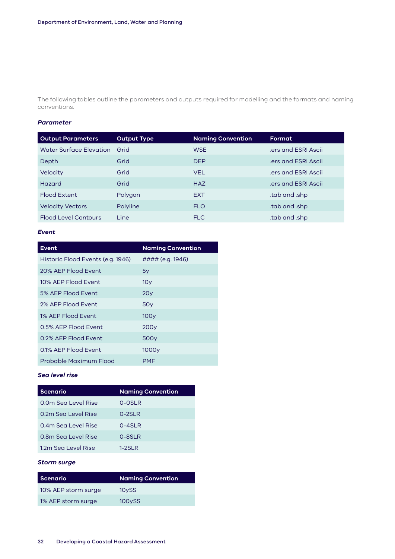The following tables outline the parameters and outputs required for modelling and the formats and naming conventions.

#### *Parameter*

| <b>Output Parameters</b>       | <b>Output Type</b> | <b>Naming Convention</b> | Format              |
|--------------------------------|--------------------|--------------------------|---------------------|
| <b>Water Surface Elevation</b> | Grid               | <b>WSE</b>               | ers and ESRI Ascii. |
| Depth                          | Grid               | <b>DEP</b>               | ers and ESRI Ascii. |
| <b>Velocity</b>                | Grid               | <b>VEL</b>               | ers and ESRI Ascii  |
| Hazard                         | Grid               | <b>HAZ</b>               | ers and ESRI Ascii. |
| Flood Extent                   | Polygon            | <b>EXT</b>               | tab and shp.        |
| <b>Velocity Vectors</b>        | Polyline           | <b>FLO</b>               | tab and shp.        |
| <b>Flood Level Contours</b>    | Line               | <b>FLC</b>               | tab and shp.        |

#### *Event*

| <b>Event</b>                      | <b>Naming Convention</b> |
|-----------------------------------|--------------------------|
| Historic Flood Events (e.g. 1946) | #### (e.g. 1946)         |
| 20% AEP Flood Event               | 5y                       |
| 10% AEP Flood Event               | 10 <sub>y</sub>          |
| 5% AEP Flood Event                | 20y                      |
| 2% AFP Flood Fvent                | 50y                      |
| 1% AEP Flood Event                | 100 <sub>y</sub>         |
| 0.5% AEP Flood Event              | 200 <sub>y</sub>         |
| 0.2% AEP Flood Event              | 500y                     |
| 0.1% AEP Flood Event              | 1000y                    |
| Probable Maximum Flood            | PMF                      |

#### *Sea level rise*

| <b>Scenario</b>     | <b>Naming Convention</b> |
|---------------------|--------------------------|
| 0.0m Sea Level Rise | 0-0SLR                   |
| 0.2m Sea Level Rise | $0-2SIR$                 |
| 0.4m Sea Level Rise | $0-4SIR$                 |
| 0.8m Sea Level Rise | 0-8SLR                   |
| 12m Sea Level Rise  | $1-2SIR$                 |

#### *Storm surge*

| <b>Scenario</b>     | <b>Naming Convention</b> |
|---------------------|--------------------------|
| 10% AEP storm surge | 10 <sub>v</sub> SS       |
| 1% AEP storm surge  | 100ySS                   |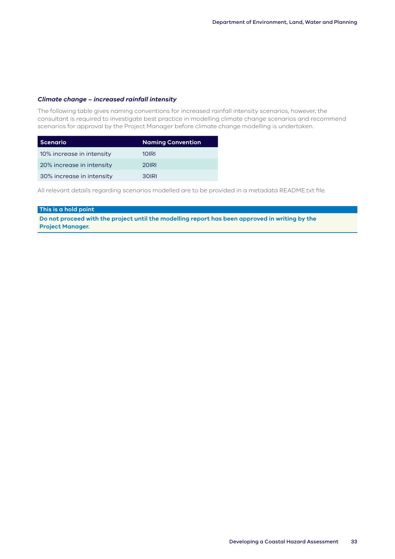#### *Climate change – increased rainfall intensity*

The following table gives naming conventions for increased rainfall intensity scenarios, however, the consultant is required to investigate best practice in modelling climate change scenarios and recommend scenarios for approval by the Project Manager before climate change modelling is undertaken.

| Scenario                  | <b>Naming Convention</b> |
|---------------------------|--------------------------|
| 10% increase in intensity | 10IRI                    |
| 20% increase in intensity | 20 <sub>IRI</sub>        |
| 30% increase in intensity | 30 <sub>IRI</sub>        |

All relevant details regarding scenarios modelled are to be provided in a metadata README.txt file.

#### **This is a hold point**

**Do not proceed with the project until the modelling report has been approved in writing by the Project Manager.**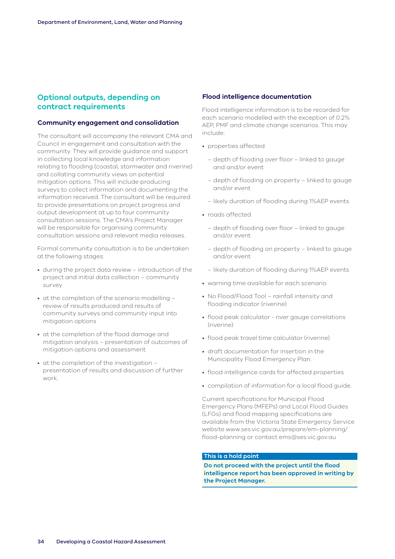#### **Optional outputs, depending on contract requirements**

#### **Community engagement and consolidation**

The consultant will accompany the relevant CMA and Council in engagement and consultation with the community. They will provide guidance and support in collecting local knowledge and information relating to flooding (coastal, stormwater and riverine) and collating community views on potential mitigation options. This will include producing surveys to collect information and documenting the information received. The consultant will be required to provide presentations on project progress and output development at up to four community consultation sessions. The CMA's Project Manager will be responsible for organising community consultation sessions and relevant media releases.

Formal community consultation is to be undertaken at the following stages:

- during the project data review introduction of the project and initial data collection – community survey
- at the completion of the scenario modelling review of results produced and results of community surveys and community input into mitigation options
- • at the completion of the flood damage and mitigation analysis – presentation of outcomes of mitigation options and assessment
- at the completion of the investigation presentation of results and discussion of further work.

#### **Flood intelligence documentation**

Flood intelligence information is to be recorded for each scenario modelled with the exception of 0.2% AEP, PMF and climate change scenarios. This may include:

- properties affected
	- depth of flooding over floor linked to gauge and and/or event
	- depth of flooding on property linked to gauge and/or event
	- likely duration of flooding during 1%AEP events
- roads affected
	- depth of flooding over floor linked to gauge and/or event
	- depth of flooding on property linked to gauge and/or event
	- likely duration of flooding during 1%AEP events
- warning time available for each scenario
- No Flood/Flood Tool rainfall intensity and flooding indicator (riverine)
- flood peak calculator river gauge correlations (riverine)
- flood peak travel time calculator (riverine)
- draft documentation for insertion in the Municipality Flood Emergency Plan.
- flood intelligence cards for affected properties
- compilation of information for a local flood guide.

Current specifications for Municipal Flood Emergency Plans (MFEPs) and Local Flood Guides (LFGs) and flood mapping specifications are available from the Victoria State Emergency Service website www.ses.vic.gov.au/prepare/em-planning/ flood-planning or contact ems@ses.vic.gov.au

#### **This is a hold point**

**Do not proceed with the project until the flood intelligence report has been approved in writing by the Project Manager.**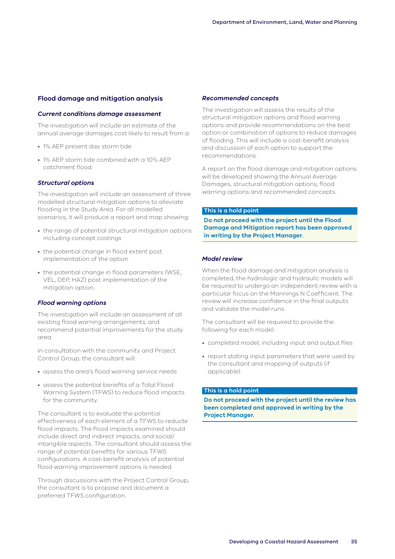#### **Flood damage and mitigation analysis**

#### *Current conditions damage assessment*

The investigation will include an estimate of the annual average damages cost likely to result from a:

- 1% AEP present day storm tide
- 1% AEP storm tide combined with a 10% AEP catchment flood.

#### *Structural options*

The investigation will include an assessment of three modelled structural mitigation options to alleviate flooding in the Study Area. For all modelled scenarios, it will produce a report and map showing:

- the range of potential structural mitigation options including concept costings
- the potential change in flood extent post implementation of the option
- the potential change in flood parameters (WSE, VEL, DEP, HAZ) post implementation of the mitigation option.

#### *Flood warning options*

The investigation will include an assessment of all existing flood warning arrangements, and recommend potential improvements for the study area.

In consultation with the community and Project Control Group, the consultant will:

- assess the area's flood warning service needs
- assess the potential benefits of a Total Flood Warning System (TFWS) to reduce flood impacts for the community.

The consultant is to evaluate the potential effectiveness of each element of a TFWS to reducte flood impacts. The flood impacts examined should include direct and indirect impacts, and social/ intangible aspects. The consultant should assess the range of potential benefits for various TFWS configurations. A cost-benefit analysis of potential flood warning improvement options is needed.

Through discussions with the Project Control Group, the consultant is to propose and document a preferred TFWS configuration.

#### *Recommended concepts*

The investigation will assess the results of the structural mitigation options and flood warning options and provide recommendations on the best option or combination of options to reduce damages of flooding. This will include a cost-benefit analysis and discussion of each option to support the recommendations.

A report on the flood damage and mitigation options will be developed showing the Annual Average Damages, structural mitigation options, flood warning options and recommended concepts.

#### **This is a hold point**

**Do not proceed with the project until the Flood Damage and Mitigation report has been approved in writing by the Project Manager.**

#### *Model review*

When the flood damage and mitigation analysis is completed, the hydrologic and hydraulic models will be required to undergo an independent review with a particular focus on the Mannings N Coefficient. The review will increase confidence in the final outputs and validate the model runs.

The consultant will be required to provide the following for each model:

- completed model, including input and output files
- report stating input parameters that were used by the consultant and mapping of outputs (if applicable).

#### **This is a hold point**

**Do not proceed with the project until the review has been completed and approved in writing by the Project Manager.**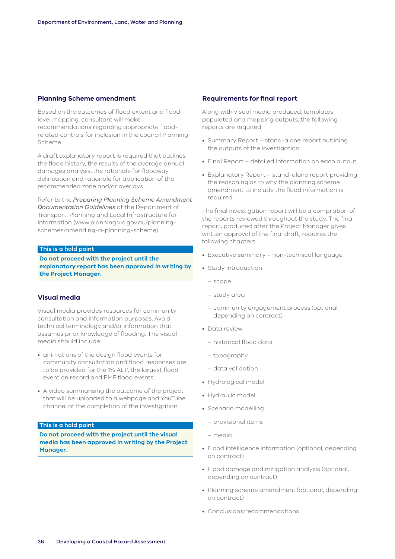#### **Planning Scheme amendment**

Based on the outcomes of flood extent and flood level mapping, consultant will make recommendations regarding appropriate floodrelated controls for inclusion in the council Planning Scheme.

A draft explanatory report is required that outlines the flood history, the results of the average annual damages analysis, the rationale for floodway delineation and rationale for application of the recommended zone and/or overlays.

Refer to the *Preparing Planning Scheme Amendment Documentation Guidelines* at the Department of Transport, Planning and Local Infrastructure for information (www.planning.vic.gov.au/planningschemes/amending-a-planning-scheme)

#### **This is a hold point**

**Do not proceed with the project until the explanatory report has been approved in writing by the Project Manager.**

#### **Visual media**

Visual media provides resources for community consultation and information purposes. Avoid technical terminology and/or information that assumes prior knowledge of flooding. The visual media should include:

- animations of the design flood events for community consultation and flood responses are to be provided for the 1% AEP, the largest flood event on record and PMF flood events
- A video summarising the outcome of the project that will be uploaded to a webpage and YouTube channel at the completion of the investigation.

#### **This is a hold point**

**Do not proceed with the project until the visual media has been approved in writing by the Project Manager.** 

#### **Requirements for final report**

Along with visual media produced, templates populated and mapping outputs, the following reports are required:

- Summary Report stand-alone report outlining the outputs of the investigation
- Final Report detailed information on each output
- Explanatory Report stand-alone report providing the reasoning as to why the planning scheme amendment to include the flood information is required.

The final investigation report will be a compilation of the reports reviewed throughout the study. The final report, produced after the Project Manager gives written approval of the final draft, requires the following chapters:

- Executive summary non-technical language
- Study introduction
	- scope
	- study area
	- community engagement process (optional, depending on contract)
- • Data review
	- historical flood data
	- topography
	- data validation
- • Hydrological model
- Hydraulic model
- Scenario modelling
	- provisional items
	- media
- Flood intelligence information (optional, depending on contract)
- Flood damage and mitigation analysis (optional, depending on contract)
- Planning scheme amendment (optional, depending on contract)
- Conclusions/recommendations.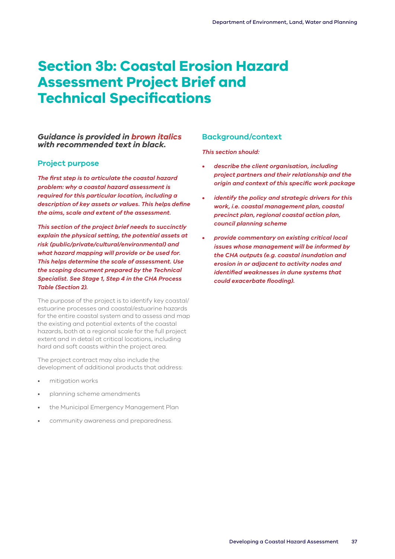### **Section 3b: Coastal Erosion Hazard Assessment Project Brief and Technical Specifications**

#### *Guidance is provided in brown italics with recommended text in black.*

#### **Project purpose**

*The first step is to articulate the coastal hazard problem: why a coastal hazard assessment is required for this particular location, including a description of key assets or values. This helps define the aims, scale and extent of the assessment.*

*This section of the project brief needs to succinctly explain the physical setting, the potential assets at risk (public/private/cultural/environmental) and what hazard mapping will provide or be used for. This helps determine the scale of assessment. Use the scoping document prepared by the Technical Specialist. See Stage 1, Step 4 in the CHA Process Table (Section 2).* 

The purpose of the project is to identify key coastal/ estuarine processes and coastal/estuarine hazards for the entire coastal system and to assess and map the existing and potential extents of the coastal hazards, both at a regional scale for the full project extent and in detail at critical locations, including hard and soft coasts within the project area.

The project contract may also include the development of additional products that address:

- mitigation works
- planning scheme amendments
- the Municipal Emergency Management Plan
- community awareness and preparedness.

#### **Background/context**

*This section should:*

- *• describe the client organisation, including project partners and their relationship and the origin and context of this specific work package*
- *identify the policy and strategic drivers for this work, i.e. coastal management plan, coastal precinct plan, regional coastal action plan, council planning scheme*
- *• provide commentary on existing critical local issues whose management will be informed by the CHA outputs (e.g. coastal inundation and erosion in or adjacent to activity nodes and identified weaknesses in dune systems that could exacerbate flooding).*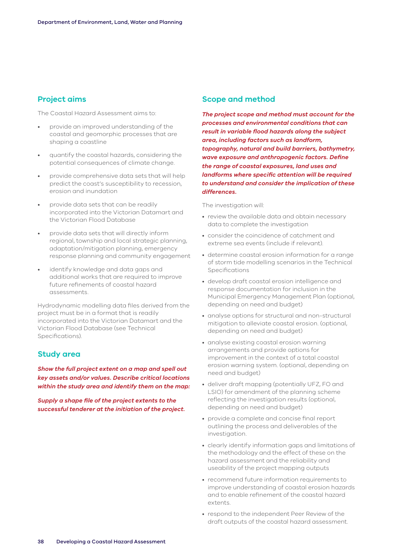#### **Project aims**

The Coastal Hazard Assessment aims to:

- provide an improved understanding of the coastal and geomorphic processes that are shaping a coastline
- quantify the coastal hazards, considering the potential consequences of climate change.
- provide comprehensive data sets that will help predict the coast's susceptibility to recession, erosion and inundation
- provide data sets that can be readily incorporated into the Victorian Datamart and the Victorian Flood Database
- provide data sets that will directly inform regional, township and local strategic planning, adaptation/mitigation planning, emergency response planning and community engagement
- identify knowledge and data gaps and additional works that are required to improve future refinements of coastal hazard assessments.

Hydrodynamic modelling data files derived from the project must be in a format that is readily incorporated into the Victorian Datamart and the Victorian Flood Database (see Technical Specifications).

#### **Study area**

*Show the full project extent on a map and spell out key assets and/or values. Describe critical locations within the study area and identify them on the map:*

*Supply a shape file of the project extents to the successful tenderer at the initiation of the project.*

#### **Scope and method**

*The project scope and method must account for the processes and environmental conditions that can result in variable flood hazards along the subject area, including factors such as landform, topography, natural and build barriers, bathymetry, wave exposure and anthropogenic factors. Define the range of coastal exposures, land uses and landforms where specific attention will be required to understand and consider the implication of these differences.*

The investigation will:

- review the available data and obtain necessary data to complete the investigation
- • consider the coincidence of catchment and extreme sea events (include if relevant).
- determine coastal erosion information for a range of storm tide modelling scenarios in the Technical Specifications
- develop draft coastal erosion intelligence and response documentation for inclusion in the Municipal Emergency Management Plan (optional, depending on need and budget)
- analyse options for structural and non-structural mitigation to alleviate coastal erosion. (optional, depending on need and budget)
- analyse existing coastal erosion warning arrangements and provide options for improvement in the context of a total coastal erosion warning system. (optional, depending on need and budget)
- deliver draft mapping (potentially UFZ, FO and LSIO) for amendment of the planning scheme reflecting the investigation results (optional, depending on need and budget)
- provide a complete and concise final report outlining the process and deliverables of the investigation.
- clearly identify information gaps and limitations of the methodology and the effect of these on the hazard assessment and the reliability and useability of the project mapping outputs
- • recommend future information requirements to improve understanding of coastal erosion hazards and to enable refinement of the coastal hazard extents.
- respond to the independent Peer Review of the draft outputs of the coastal hazard assessment.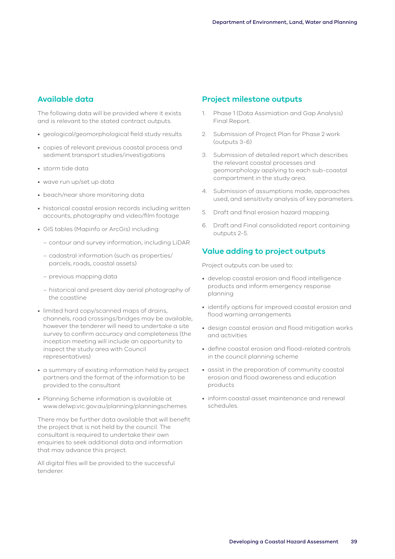#### **Available data**

The following data will be provided where it exists and is relevant to the stated contract outputs.

- geological/geomorphological field study results
- copies of relevant previous coastal process and sediment transport studies/investigations
- storm tide data
- wave run up/set up data
- beach/near shore monitoring data
- historical coastal erosion records including written accounts, photography and video/film footage
- GIS tables (Mapinfo or ArcGis) including:
	- contour and survey information, including LiDAR
	- cadastral information (such as properties/ parcels, roads, coastal assets)
	- previous mapping data
	- historical and present day aerial photography of the coastline
- limited hard copy/scanned maps of drains, channels, road crossings/bridges may be available, however the tenderer will need to undertake a site survey to confirm accuracy and completeness (the inception meeting will include an opportunity to inspect the study area with Council representatives)
- a summary of existing information held by project partners and the format of the information to be provided to the consultant
- Planning Scheme information is available at www.delwp.vic.gov.au/planning/planningschemes

There may be further data available that will benefit the project that is not held by the council. The consultant is required to undertake their own enquiries to seek additional data and information that may advance this project.

All digital files will be provided to the successful tenderer.

#### **Project milestone outputs**

- 1. Phase 1 (Data Assimiation and Gap Analysis) Final Report.
- 2. Submission of Project Plan for Phase 2 work (outputs 3-6)
- 3. Submission of detailed report which describes the relevant coastal processes and geomorphology applying to each sub-coastal compartment in the study area.
- 4. Submission of assumptions made, approaches used, and sensitivity analysis of key parameters.
- 5. Draft and final erosion hazard mapping.
- 6. Draft and Final consolidated report containing outputs 2-5.

### **Value adding to project outputs**

Project outputs can be used to:

- develop coastal erosion and flood intelligence products and inform emergency response planning
- identify options for improved coastal erosion and flood warning arrangements
- design coastal erosion and flood mitigation works and activities
- define coastal erosion and flood-related controls in the council planning scheme
- assist in the preparation of community coastal erosion and flood awareness and education products
- inform coastal asset maintenance and renewal schedules.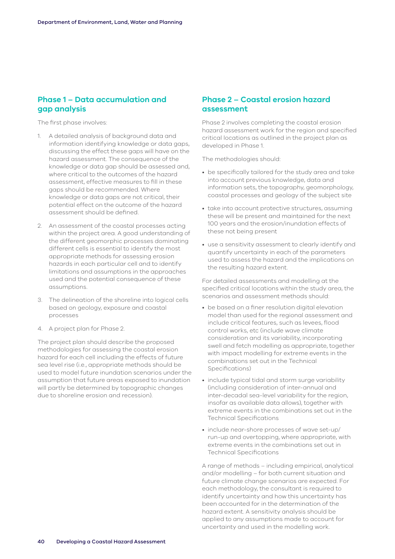#### **Phase 1 – Data accumulation and gap analysis**

The first phase involves:

- 1. A detailed analysis of background data and information identifying knowledge or data gaps, discussing the effect these gaps will have on the hazard assessment. The consequence of the knowledge or data gap should be assessed and, where critical to the outcomes of the hazard assessment, effective measures to fill in these gaps should be recommended. Where knowledge or data gaps are not critical, their potential effect on the outcome of the hazard assessment should be defined.
- 2. An assessment of the coastal processes acting within the project area. A good understanding of the different geomorphic processes dominating different cells is essential to identify the most appropriate methods for assessing erosion hazards in each particular cell and to identify limitations and assumptions in the approaches used and the potential consequence of these assumptions.
- 3. The delineation of the shoreline into logical cells based on geology, exposure and coastal processes
- 4. A project plan for Phase 2.

The project plan should describe the proposed methodologies for assessing the coastal erosion hazard for each cell including the effects of future sea level rise (i.e., appropriate methods should be used to model future inundation scenarios under the assumption that future areas exposed to inundation will partly be determined by topographic changes due to shoreline erosion and recession).

#### **Phase 2 – Coastal erosion hazard assessment**

Phase 2 involves completing the coastal erosion hazard assessment work for the region and specified critical locations as outlined in the project plan as developed in Phase 1.

The methodologies should:

- be specifically tailored for the study area and take into account previous knowledge, data and information sets, the topography, geomorphology, coastal processes and geology of the subject site
- take into account protective structures, assuming these will be present and maintained for the next 100 years and the erosion/inundation effects of these not being present
- use a sensitivity assessment to clearly identify and quantify uncertainty in each of the parameters used to assess the hazard and the implications on the resulting hazard extent.

For detailed assessments and modelling at the specified critical locations within the study area, the scenarios and assessment methods should:

- be based on a finer resolution digital elevation model than used for the regional assessment and include critical features, such as levees, flood control works, etc (include wave climate consideration and its variability, incorporating swell and fetch modelling as appropriate, together with impact modelling for extreme events in the combinations set out in the Technical Specifications)
- include typical tidal and storm surge variability (including consideration of inter-annual and inter-decadal sea-level variability for the region, insofar as available data allows), together with extreme events in the combinations set out in the Technical Specifications
- include near-shore processes of wave set-up/ run-up and overtopping, where appropriate, with extreme events in the combinations set out in Technical Specifications

A range of methods – including empirical, analytical and/or modelling – for both current situation and future climate change scenarios are expected. For each methodology, the consultant is required to identify uncertainty and how this uncertainty has been accounted for in the determination of the hazard extent. A sensitivity analysis should be applied to any assumptions made to account for uncertainty and used in the modelling work.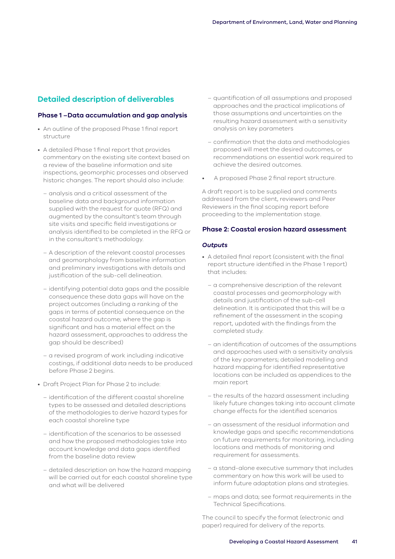#### **Detailed description of deliverables**

#### **Phase 1 –Data accumulation and gap analysis**

- An outline of the proposed Phase 1 final report structure
- A detailed Phase 1 final report that provides commentary on the existing site context based on a review of the baseline information and site inspections, geomorphic processes and observed historic changes. The report should also include:
	- analysis and a critical assessment of the baseline data and background information supplied with the request for quote (RFQ) and augmented by the consultant's team through site visits and specific field investigations or analysis identified to be completed in the RFQ or in the consultant's methodology.
	- A description of the relevant coastal processes and geomorphology from baseline information and preliminary investigations with details and justification of the sub-cell delineation.
	- identifying potential data gaps and the possible consequence these data gaps will have on the project outcomes (including a ranking of the gaps in terms of potential consequence on the coastal hazard outcome; where the gap is significant and has a material effect on the hazard assessment, approaches to address the gap should be described)
	- a revised program of work including indicative costings, if additional data needs to be produced before Phase 2 begins.
- Draft Project Plan for Phase 2 to include:
	- identification of the different coastal shoreline types to be assessed and detailed descriptions of the methodologies to derive hazard types for each coastal shoreline type
	- identification of the scenarios to be assessed and how the proposed methodologies take into account knowledge and data gaps identified from the baseline data review
	- detailed description on how the hazard mapping will be carried out for each coastal shoreline type and what will be delivered
- quantification of all assumptions and proposed approaches and the practical implications of those assumptions and uncertainties on the resulting hazard assessment with a sensitivity analysis on key parameters
- confirmation that the data and methodologies proposed will meet the desired outcomes, or recommendations on essential work required to achieve the desired outcomes.
- A proposed Phase 2 final report structure.

A draft report is to be supplied and comments addressed from the client, reviewers and Peer Reviewers in the final scoping report before proceeding to the implementation stage.

#### **Phase 2: Coastal erosion hazard assessment**

#### *Outputs*

- A detailed final report (consistent with the final report structure identified in the Phase 1 report) that includes:
	- a comprehensive description of the relevant coastal processes and geomorphology with details and justification of the sub-cell delineation. It is anticipated that this will be a refinement of the assessment in the scoping report, updated with the findings from the completed study.
	- an identification of outcomes of the assumptions and approaches used with a sensitivity analysis of the key parameters; detailed modelling and hazard mapping for identified representative locations can be included as appendices to the main report
	- the results of the hazard assessment including likely future changes taking into account climate change effects for the identified scenarios
	- an assessment of the residual information and knowledge gaps and specific recommendations on future requirements for monitoring, including locations and methods of monitoring and requirement for assessments.
	- a stand-alone executive summary that includes commentary on how this work will be used to inform future adaptation plans and strategies.
	- maps and data; see format requirements in the Technical Specifications.

The council to specify the format (electronic and paper) required for delivery of the reports.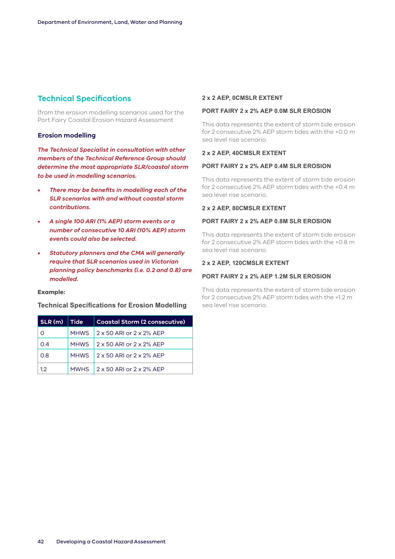#### **Technical Specifications**

(from the erosion modelling scenarios used for the Port Fairy Coastal Erosion Hazard Assessment

#### **Erosion modelling**

*The Technical Specialist in consultation with other members of the Technical Reference Group should determine the most appropriate SLR/coastal storm to be used in modelling scenarios.* 

- *There may be benefits in modelling each of the SLR scenarios with and without coastal storm contributions.*
- A single 100 ARI (1% AEP) storm events or a *number of consecutive 10 ARI (10% AEP) storm events could also be selected.*
- **Statutory planners and the CMA will generally** *require that SLR scenarios used in Victorian planning policy benchmarks (i.e. 0.2 and 0.8) are modelled.*

#### **Example:**

#### **Technical Specifications for Erosion Modelling**

| SLR(m) | <b>Tide</b> | <b>Coastal Storm (2 consecutive)</b>         |
|--------|-------------|----------------------------------------------|
| Ω      | MHWS.       | $2 \times 50$ ARI or $2 \times 2\%$ AFP      |
| 0.4    | <b>MHWS</b> | $2 \times 50$ ARI or $2 \times 2\%$ AFP      |
| 0.8    |             | MHWS $2 \times 50$ ARI or $2 \times 2\%$ AFP |
| 12     |             | MWHS $2 \times 50$ ARI or $2 \times 2\%$ AFP |

#### **2 x 2 AEP, 0CMSLR EXTENT**

#### **PORT FAIRY 2 x 2% AEP 0.0M SLR EROSION**

This data represents the extent of storm tide erosion for 2 consecutive 2% AEP storm tides with the +0.0 m sea level rise scenario.

#### **2 x 2 AEP, 40CMSLR EXTENT**

#### **PORT FAIRY 2 x 2% AEP 0.4M SLR EROSION**

This data represents the extent of storm tide erosion for 2 consecutive 2% AEP storm tides with the +0.4 m sea level rise scenario.

#### **2 x 2 AEP, 80CMSLR EXTENT**

#### **PORT FAIRY 2 x 2% AEP 0.8M SLR EROSION**

This data represents the extent of storm tide erosion for 2 consecutive 2% AEP storm tides with the +0.8 m sea level rise scenario.

#### **2 x 2 AEP, 120CMSLR EXTENT**

#### **PORT FAIRY 2 x 2% AEP 1.2M SLR EROSION**

This data represents the extent of storm tide erosion for 2 consecutive 2% AEP storm tides with the +1.2 m sea level rise scenario.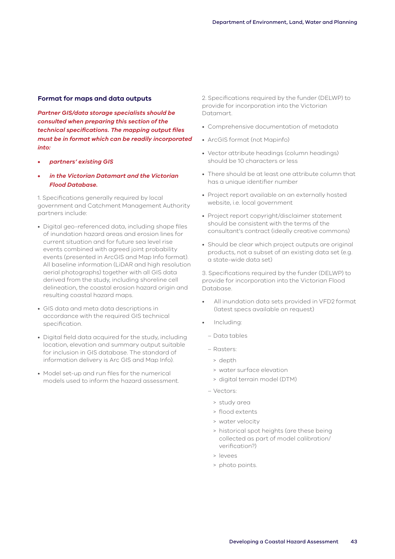#### **Format for maps and data outputs**

*Partner GIS/data storage specialists should be consulted when preparing this section of the technical specifications. The mapping output files must be in format which can be readily incorporated into:*

- **partners' existing GIS**
- *• in the Victorian Datamart and the Victorian Flood Database.*

1. Specifications generally required by local government and Catchment Management Authority partners include:

- Digital geo-referenced data, including shape files of inundation hazard areas and erosion lines for current situation and for future sea level rise events combined with agreed joint probability events (presented in ArcGIS and Map Info format). All baseline information (LiDAR and high resolution aerial photographs) together with all GIS data derived from the study, including shoreline cell delineation, the coastal erosion hazard origin and resulting coastal hazard maps.
- • GIS data and meta data descriptions in accordance with the required GIS technical specification.
- Digital field data acquired for the study, including location, elevation and summary output suitable for inclusion in GIS database. The standard of information delivery is Arc GIS and Map Info).
- Model set-up and run files for the numerical models used to inform the hazard assessment.

2. Specifications required by the funder (DELWP) to provide for incorporation into the Victorian Datamart.

- • Comprehensive documentation of metadata
- ArcGIS format (not Mapinfo)
- • Vector attribute headings (column headings) should be 10 characters or less
- There should be at least one attribute column that has a unique identifier number
- Project report available on an externally hosted website, i.e. local government
- Project report copyright/disclaimer statement should be consistent with the terms of the consultant's contract (ideally creative commons)
- Should be clear which project outputs are original products, not a subset of an existing data set (e.g. a state-wide data set)

3. Specifications required by the funder (DELWP) to provide for incorporation into the Victorian Flood Database.

- All inundation data sets provided in VFD2 format (latest specs available on request)
- Including:
	- Data tables
	- Rasters:
	- > depth
	- > water surface elevation
	- > digital terrain model (DTM)
	- Vectors:
		- > study area
		- > flood extents
		- > water velocity
		- > historical spot heights (are these being collected as part of model calibration/ verification?)
	- > levees
	- > photo points.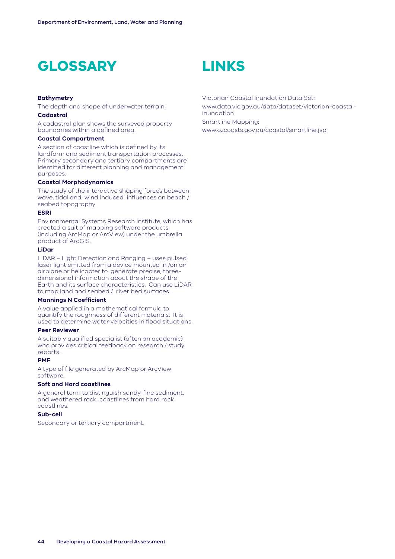### **GLOSSARY**

#### **Bathymetry**

The depth and shape of underwater terrain.

#### **Cadastral**

A cadastral plan shows the surveyed property boundaries within a defined area.

#### **Coastal Compartment**

A section of coastline which is defined by its landform and sediment transportation processes. Primary secondary and tertiary compartments are identified for different planning and management purposes.

#### **Coastal Morphodynamics**

The study of the interactive shaping forces between wave, tidal and wind induced influences on beach / seabed topography.

#### **ESRI**

Environmental Systems Research Institute, which has created a suit of mapping software products (including ArcMap or ArcView) under the umbrella product of ArcGIS.

#### **LiDar**

LiDAR – Light Detection and Ranging – uses pulsed laser light emitted from a device mounted in /on an airplane or helicopter to generate precise, threedimensional information about the shape of the Earth and its surface characteristics. Can use LiDAR to map land and seabed / river bed surfaces.

#### **Mannings N Coefficient**

A value applied in a mathematical formula to quantify the roughness of different materials. It is used to determine water velocities in flood situations.

#### **Peer Reviewer**

A suitably qualified specialist (often an academic) who provides critical feedback on research / study reports.

#### **PMF**

A type of file generated by ArcMap or ArcView software.

#### **Soft and Hard coastlines**

A general term to distinguish sandy, fine sediment, and weathered rock coastlines from hard rock coastlines.

#### **Sub-cell**

Secondary or tertiary compartment.

## **Links**

#### Victorian Coastal Inundation Data Set:

www.data.vic.gov.au/data/dataset/victorian-coastalinundation

Smartline Mapping:

www.ozcoasts.gov.au/coastal/smartline.jsp